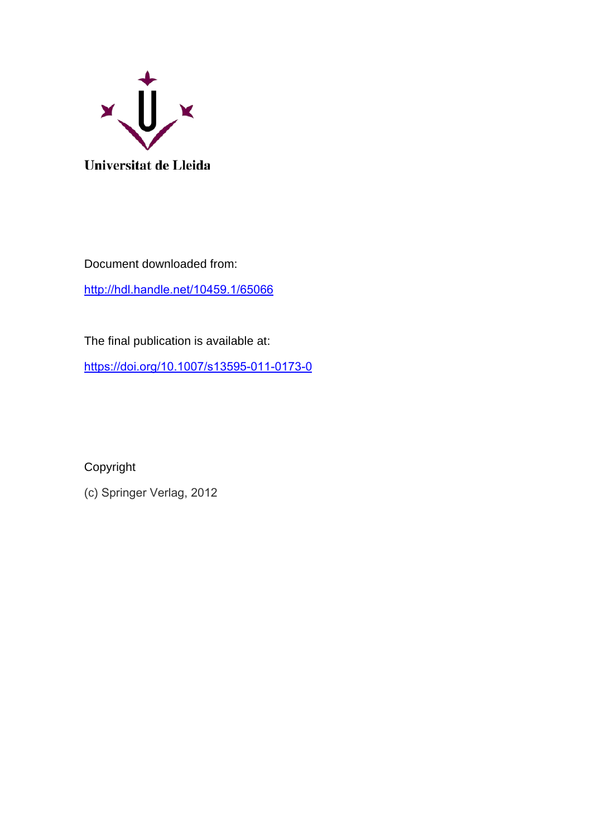

Document downloaded from: <http://hdl.handle.net/10459.1/65066>

The final publication is available at:

<https://doi.org/10.1007/s13595-011-0173-0>

Copyright

(c) Springer Verlag, 2012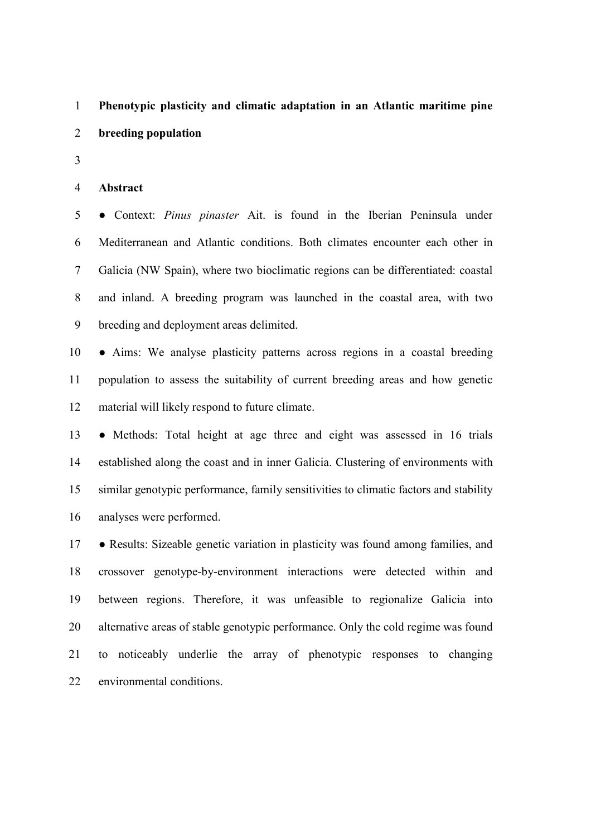# 1 **Phenotypic plasticity and climatic adaptation in an Atlantic maritime pine**  2 **breeding population**

3

#### 4 **Abstract**

5 ● Context: *Pinus pinaster* Ait. is found in the Iberian Peninsula under 6 Mediterranean and Atlantic conditions. Both climates encounter each other in 7 Galicia (NW Spain), where two bioclimatic regions can be differentiated: coastal 8 and inland. A breeding program was launched in the coastal area, with two 9 breeding and deployment areas delimited.

10 ● Aims: We analyse plasticity patterns across regions in a coastal breeding 11 population to assess the suitability of current breeding areas and how genetic 12 material will likely respond to future climate.

13 ● Methods: Total height at age three and eight was assessed in 16 trials 14 established along the coast and in inner Galicia. Clustering of environments with 15 similar genotypic performance, family sensitivities to climatic factors and stability 16 analyses were performed.

17 • Results: Sizeable genetic variation in plasticity was found among families, and 18 crossover genotype-by-environment interactions were detected within and 19 between regions. Therefore, it was unfeasible to regionalize Galicia into 20 alternative areas of stable genotypic performance. Only the cold regime was found 21 to noticeably underlie the array of phenotypic responses to changing 22 environmental conditions.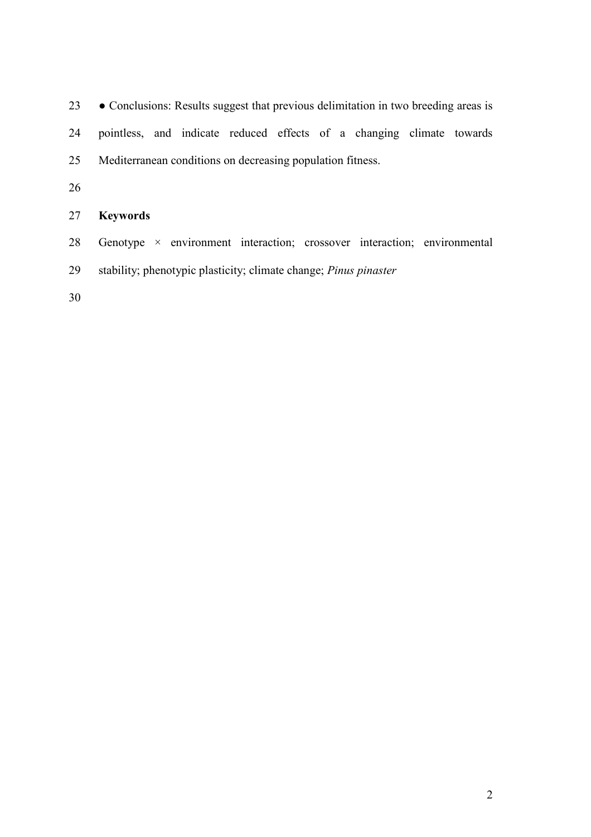23 ● Conclusions: Results suggest that previous delimitation in two breeding areas is 24 pointless, and indicate reduced effects of a changing climate towards 25 Mediterranean conditions on decreasing population fitness.

26

# 27 **Keywords**

- 28 Genotype × environment interaction; crossover interaction; environmental
- 29 stability; phenotypic plasticity; climate change; *Pinus pinaster*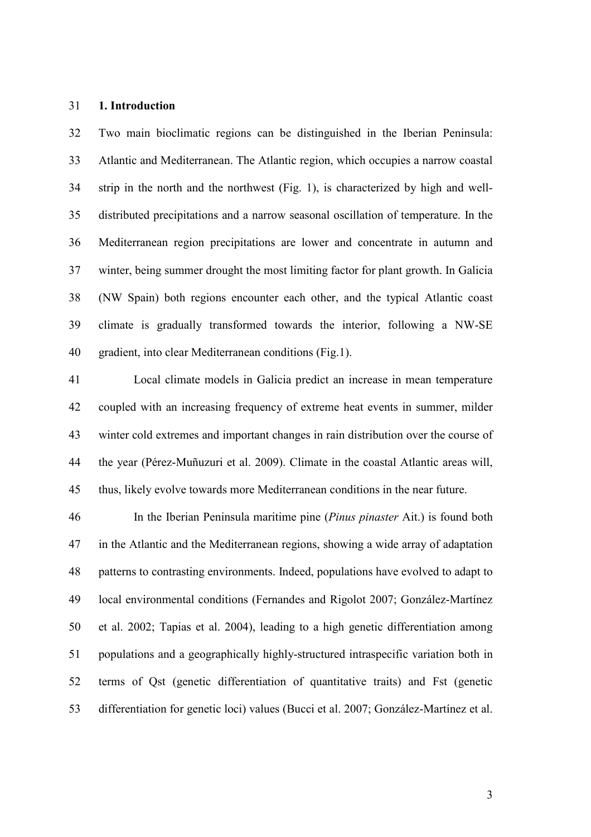#### 31 **1. Introduction**

32 Two main bioclimatic regions can be distinguished in the Iberian Peninsula: 33 Atlantic and Mediterranean. The Atlantic region, which occupies a narrow coastal 34 strip in the north and the northwest (Fig. 1), is characterized by high and well-35 distributed precipitations and a narrow seasonal oscillation of temperature. In the 36 Mediterranean region precipitations are lower and concentrate in autumn and 37 winter, being summer drought the most limiting factor for plant growth. In Galicia 38 (NW Spain) both regions encounter each other, and the typical Atlantic coast 39 climate is gradually transformed towards the interior, following a NW-SE 40 gradient, into clear Mediterranean conditions (Fig.1).

41 Local climate models in Galicia predict an increase in mean temperature 42 coupled with an increasing frequency of extreme heat events in summer, milder 43 winter cold extremes and important changes in rain distribution over the course of 44 the year (Pérez-Muñuzuri et al. 2009). Climate in the coastal Atlantic areas will, 45 thus, likely evolve towards more Mediterranean conditions in the near future.

46 In the Iberian Peninsula maritime pine (*Pinus pinaster* Ait.) is found both 47 in the Atlantic and the Mediterranean regions, showing a wide array of adaptation 48 patterns to contrasting environments. Indeed, populations have evolved to adapt to 49 local environmental conditions (Fernandes and Rigolot 2007; González-Martínez 50 et al. 2002; Tapias et al. 2004), leading to a high genetic differentiation among 51 populations and a geographically highly-structured intraspecific variation both in 52 terms of Qst (genetic differentiation of quantitative traits) and Fst (genetic 53 differentiation for genetic loci) values (Bucci et al. 2007; González-Martínez et al.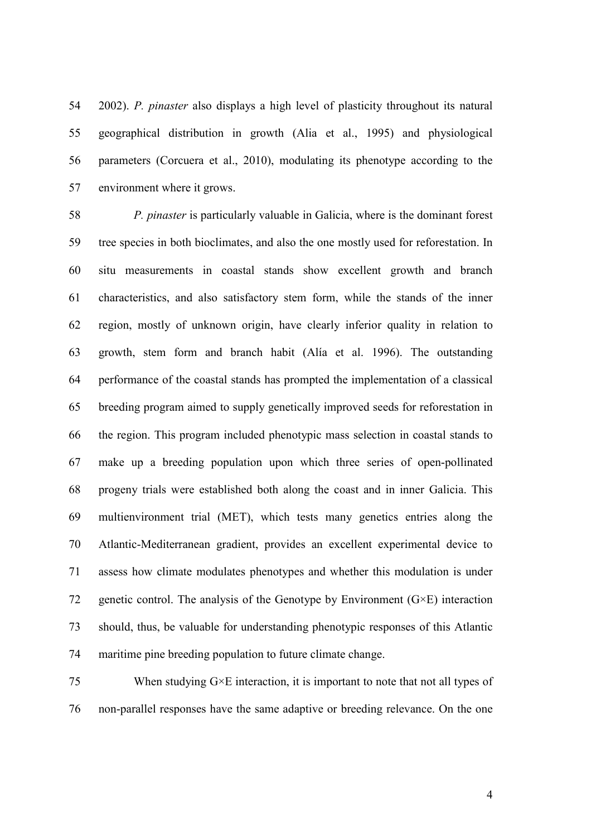54 2002). *P. pinaster* also displays a high level of plasticity throughout its natural 55 geographical distribution in growth (Alia et al., 1995) and physiological 56 parameters (Corcuera et al., 2010), modulating its phenotype according to the 57 environment where it grows.

58 *P. pinaster* is particularly valuable in Galicia, where is the dominant forest 59 tree species in both bioclimates, and also the one mostly used for reforestation. In 60 situ measurements in coastal stands show excellent growth and branch 61 characteristics, and also satisfactory stem form, while the stands of the inner 62 region, mostly of unknown origin, have clearly inferior quality in relation to 63 growth, stem form and branch habit (Alía et al. 1996). The outstanding 64 performance of the coastal stands has prompted the implementation of a classical 65 breeding program aimed to supply genetically improved seeds for reforestation in 66 the region. This program included phenotypic mass selection in coastal stands to 67 make up a breeding population upon which three series of open-pollinated 68 progeny trials were established both along the coast and in inner Galicia. This 69 multienvironment trial (MET), which tests many genetics entries along the 70 Atlantic-Mediterranean gradient, provides an excellent experimental device to 71 assess how climate modulates phenotypes and whether this modulation is under 72 genetic control. The analysis of the Genotype by Environment  $(G \times E)$  interaction 73 should, thus, be valuable for understanding phenotypic responses of this Atlantic 74 maritime pine breeding population to future climate change.

75 When studying  $G \times E$  interaction, it is important to note that not all types of 76 non-parallel responses have the same adaptive or breeding relevance. On the one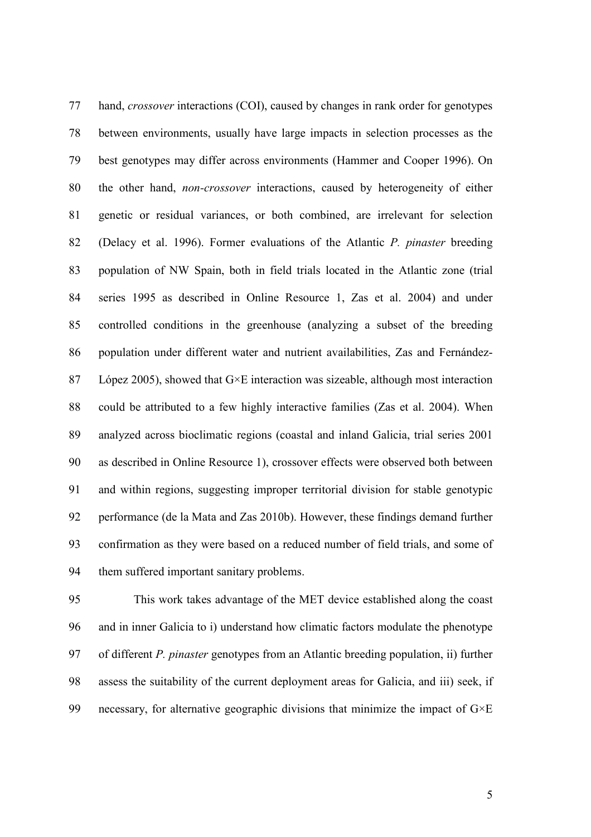77 hand, *crossover* interactions (COI), caused by changes in rank order for genotypes 78 between environments, usually have large impacts in selection processes as the 79 best genotypes may differ across environments (Hammer and Cooper 1996). On 80 the other hand, *non-crossover* interactions, caused by heterogeneity of either 81 genetic or residual variances, or both combined, are irrelevant for selection 82 (Delacy et al. 1996). Former evaluations of the Atlantic *P. pinaster* breeding 83 population of NW Spain, both in field trials located in the Atlantic zone (trial 84 series 1995 as described in Online Resource 1, Zas et al. 2004) and under 85 controlled conditions in the greenhouse (analyzing a subset of the breeding 86 population under different water and nutrient availabilities, Zas and Fernández-87 López 2005), showed that G×E interaction was sizeable, although most interaction 88 could be attributed to a few highly interactive families (Zas et al. 2004). When 89 analyzed across bioclimatic regions (coastal and inland Galicia, trial series 2001 90 as described in Online Resource 1), crossover effects were observed both between 91 and within regions, suggesting improper territorial division for stable genotypic 92 performance (de la Mata and Zas 2010b). However, these findings demand further 93 confirmation as they were based on a reduced number of field trials, and some of 94 them suffered important sanitary problems.

95 This work takes advantage of the MET device established along the coast 96 and in inner Galicia to i) understand how climatic factors modulate the phenotype 97 of different *P. pinaster* genotypes from an Atlantic breeding population, ii) further 98 assess the suitability of the current deployment areas for Galicia, and iii) seek, if 99 necessary, for alternative geographic divisions that minimize the impact of  $G \times E$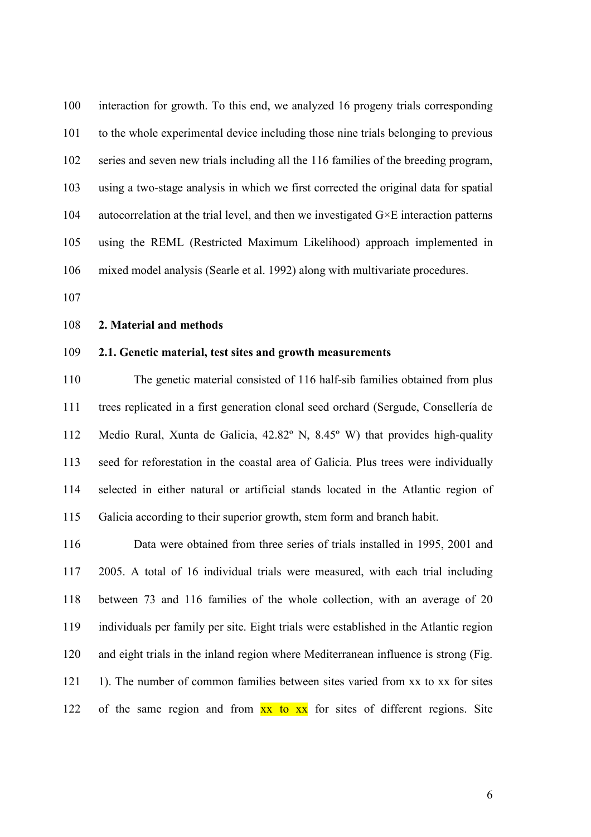100 interaction for growth. To this end, we analyzed 16 progeny trials corresponding 101 to the whole experimental device including those nine trials belonging to previous 102 series and seven new trials including all the 116 families of the breeding program, 103 using a two-stage analysis in which we first corrected the original data for spatial 104 autocorrelation at the trial level, and then we investigated  $G \times E$  interaction patterns 105 using the REML (Restricted Maximum Likelihood) approach implemented in 106 mixed model analysis (Searle et al. 1992) along with multivariate procedures.

107

#### 108 **2. Material and methods**

#### 109 **2.1. Genetic material, test sites and growth measurements**

110 The genetic material consisted of 116 half-sib families obtained from plus 111 trees replicated in a first generation clonal seed orchard (Sergude, Consellería de 112 Medio Rural, Xunta de Galicia, 42.82º N, 8.45º W) that provides high-quality 113 seed for reforestation in the coastal area of Galicia. Plus trees were individually 114 selected in either natural or artificial stands located in the Atlantic region of 115 Galicia according to their superior growth, stem form and branch habit.

116 Data were obtained from three series of trials installed in 1995, 2001 and 117 2005. A total of 16 individual trials were measured, with each trial including 118 between 73 and 116 families of the whole collection, with an average of 20 119 individuals per family per site. Eight trials were established in the Atlantic region 120 and eight trials in the inland region where Mediterranean influence is strong (Fig. 121 1). The number of common families between sites varied from xx to xx for sites 122 of the same region and from  $\overline{xx}$  to  $\overline{xx}$  for sites of different regions. Site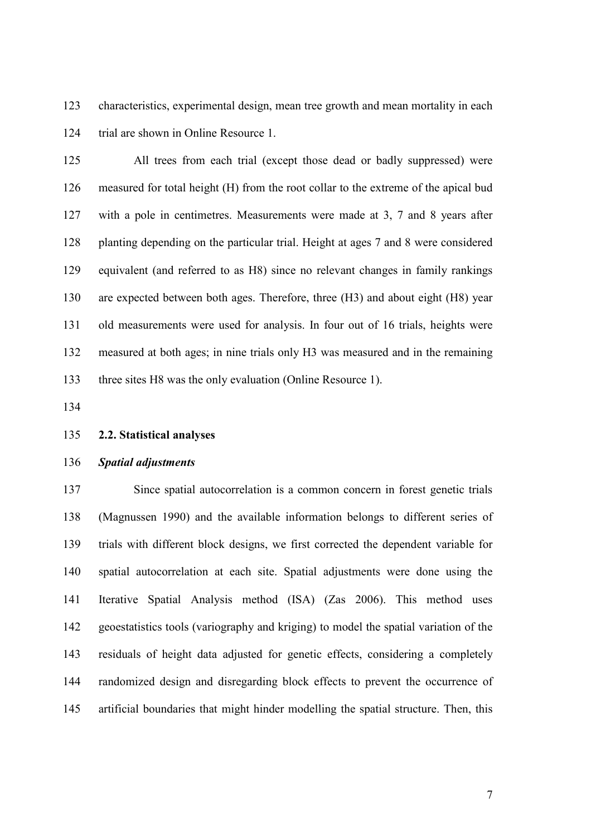123 characteristics, experimental design, mean tree growth and mean mortality in each 124 trial are shown in Online Resource 1.

125 All trees from each trial (except those dead or badly suppressed) were 126 measured for total height (H) from the root collar to the extreme of the apical bud 127 with a pole in centimetres. Measurements were made at 3, 7 and 8 years after 128 planting depending on the particular trial. Height at ages 7 and 8 were considered 129 equivalent (and referred to as H8) since no relevant changes in family rankings 130 are expected between both ages. Therefore, three (H3) and about eight (H8) year 131 old measurements were used for analysis. In four out of 16 trials, heights were 132 measured at both ages; in nine trials only H3 was measured and in the remaining 133 three sites H8 was the only evaluation (Online Resource 1).

134

#### 135 **2.2. Statistical analyses**

#### 136 *Spatial adjustments*

137 Since spatial autocorrelation is a common concern in forest genetic trials 138 (Magnussen 1990) and the available information belongs to different series of 139 trials with different block designs, we first corrected the dependent variable for 140 spatial autocorrelation at each site. Spatial adjustments were done using the 141 Iterative Spatial Analysis method (ISA) (Zas 2006). This method uses 142 geoestatistics tools (variography and kriging) to model the spatial variation of the 143 residuals of height data adjusted for genetic effects, considering a completely 144 randomized design and disregarding block effects to prevent the occurrence of 145 artificial boundaries that might hinder modelling the spatial structure. Then, this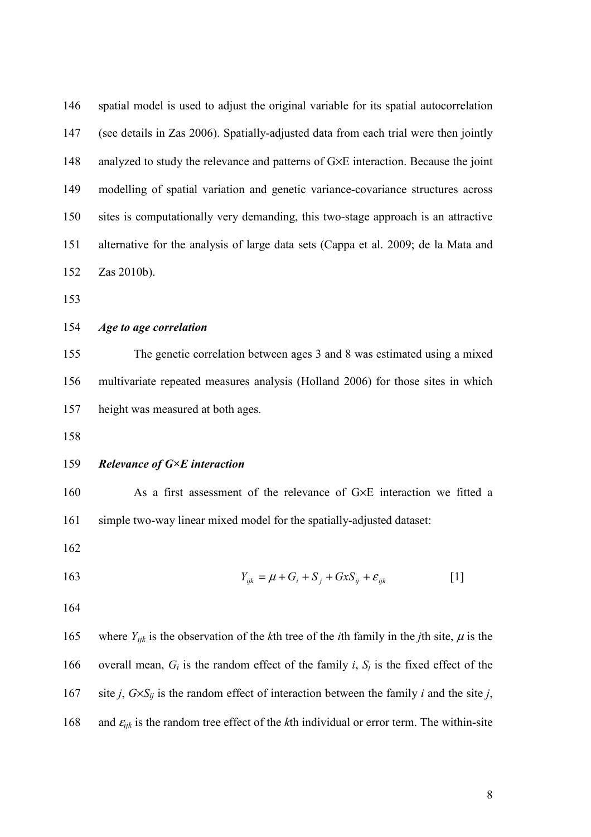| 146            | spatial model is used to adjust the original variable for its spatial autocorrelation |
|----------------|---------------------------------------------------------------------------------------|
| 147            | (see details in Zas 2006). Spatially-adjusted data from each trial were then jointly  |
| 148            | analyzed to study the relevance and patterns of G×E interaction. Because the joint    |
| 149            | modelling of spatial variation and genetic variance-covariance structures across      |
| 150            | sites is computationally very demanding, this two-stage approach is an attractive     |
| 151            | alternative for the analysis of large data sets (Cappa et al. 2009; de la Mata and    |
| 152            | Zas 2010b).                                                                           |
| 153            |                                                                                       |
| 154            | Age to age correlation                                                                |
| 155            | The genetic correlation between ages 3 and 8 was estimated using a mixed              |
| 156            | multivariate repeated measures analysis (Holland 2006) for those sites in which       |
| 157            | height was measured at both ages.                                                     |
| 158            |                                                                                       |
| 159            | Relevance of $G \times E$ interaction                                                 |
| 160            | As a first assessment of the relevance of G×E interaction we fitted a                 |
| 161            | simple two-way linear mixed model for the spatially-adjusted dataset:                 |
| 162            |                                                                                       |
| 1 <sub>0</sub> | $\alpha$ $\alpha$ $\alpha$                                                            |

163 
$$
Y_{ijk} = \mu + G_i + S_j + GxS_{ij} + \varepsilon_{ijk}
$$
 [1]

165 where  $Y_{ijk}$  is the observation of the *k*th tree of the *i*th family in the *j*th site,  $\mu$  is the 166 overall mean,  $G_i$  is the random effect of the family *i*,  $S_j$  is the fixed effect of the 167 site *j*,  $G \times S_{ij}$  is the random effect of interaction between the family *i* and the site *j*, 168 and  $\varepsilon_{ijk}$  is the random tree effect of the *k*th individual or error term. The within-site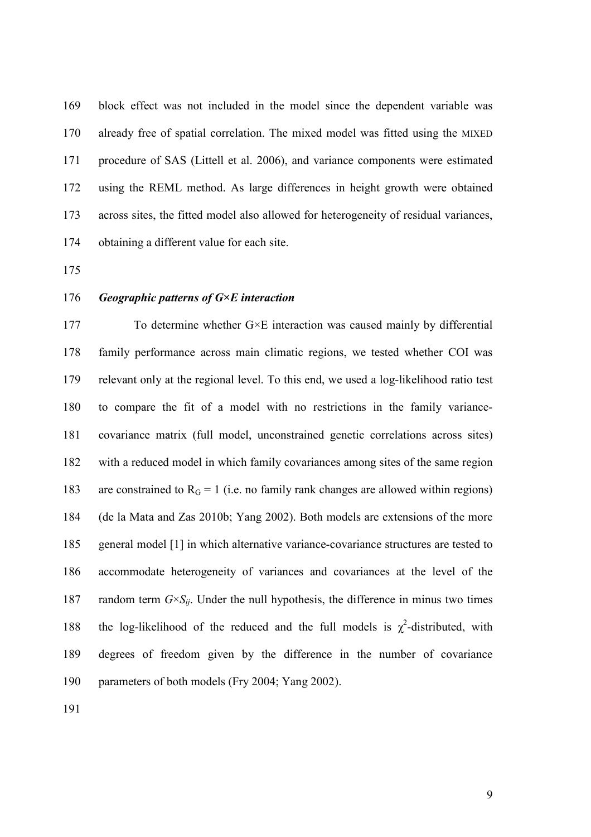169 block effect was not included in the model since the dependent variable was 170 already free of spatial correlation. The mixed model was fitted using the MIXED 171 procedure of SAS (Littell et al. 2006), and variance components were estimated 172 using the REML method. As large differences in height growth were obtained 173 across sites, the fitted model also allowed for heterogeneity of residual variances, 174 obtaining a different value for each site.

175

### 176 *Geographic patterns of G×E interaction*

177 To determine whether  $G \times E$  interaction was caused mainly by differential 178 family performance across main climatic regions, we tested whether COI was 179 relevant only at the regional level. To this end, we used a log-likelihood ratio test 180 to compare the fit of a model with no restrictions in the family variance-181 covariance matrix (full model, unconstrained genetic correlations across sites) 182 with a reduced model in which family covariances among sites of the same region 183 are constrained to  $R<sub>G</sub> = 1$  (i.e. no family rank changes are allowed within regions) 184 (de la Mata and Zas 2010b; Yang 2002). Both models are extensions of the more 185 general model [1] in which alternative variance-covariance structures are tested to 186 accommodate heterogeneity of variances and covariances at the level of the 187 random term  $G \times S_{ii}$ . Under the null hypothesis, the difference in minus two times 188 the log-likelihood of the reduced and the full models is  $\chi^2$ -distributed, with 189 degrees of freedom given by the difference in the number of covariance 190 parameters of both models (Fry 2004; Yang 2002).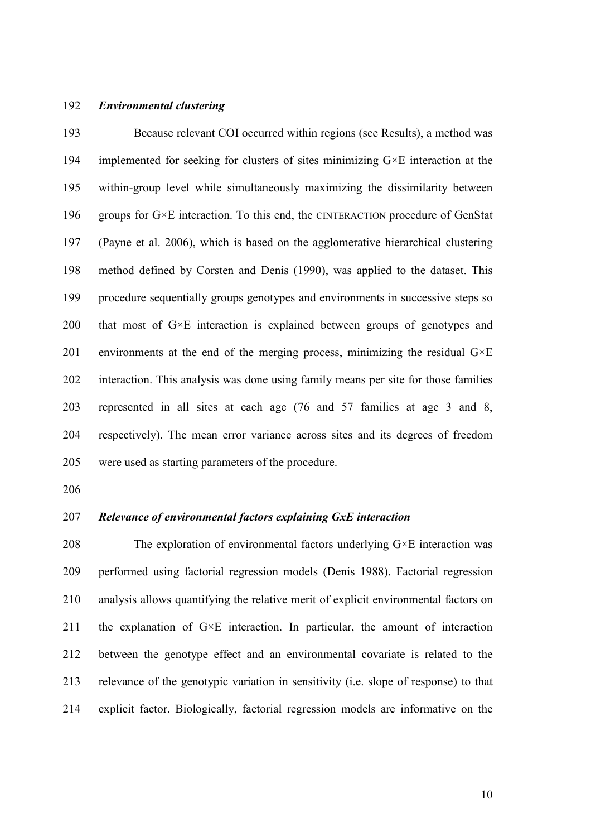#### 192 *Environmental clustering*

193 Because relevant COI occurred within regions (see Results), a method was 194 implemented for seeking for clusters of sites minimizing G×E interaction at the 195 within-group level while simultaneously maximizing the dissimilarity between 196 groups for  $G \times E$  interaction. To this end, the CINTERACTION procedure of GenStat 197 (Payne et al. 2006), which is based on the agglomerative hierarchical clustering 198 method defined by Corsten and Denis (1990), was applied to the dataset. This 199 procedure sequentially groups genotypes and environments in successive steps so 200 that most of G×E interaction is explained between groups of genotypes and 201 environments at the end of the merging process, minimizing the residual  $G \times E$ 202 interaction. This analysis was done using family means per site for those families 203 represented in all sites at each age (76 and 57 families at age 3 and 8, 204 respectively). The mean error variance across sites and its degrees of freedom 205 were used as starting parameters of the procedure.

206

#### 207 *Relevance of environmental factors explaining GxE interaction*

208 The exploration of environmental factors underlying  $G \times E$  interaction was 209 performed using factorial regression models (Denis 1988). Factorial regression 210 analysis allows quantifying the relative merit of explicit environmental factors on 211 the explanation of  $G \times E$  interaction. In particular, the amount of interaction 212 between the genotype effect and an environmental covariate is related to the 213 relevance of the genotypic variation in sensitivity (i.e. slope of response) to that 214 explicit factor. Biologically, factorial regression models are informative on the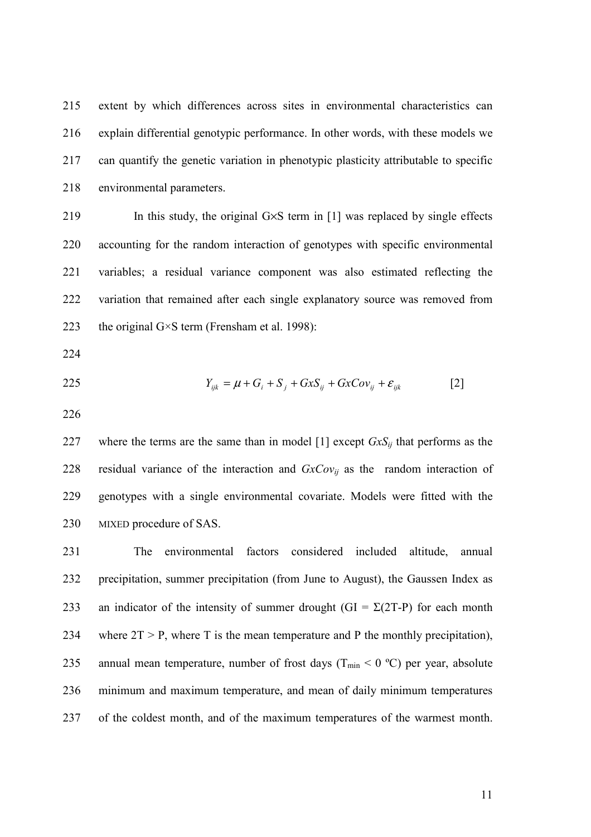215 extent by which differences across sites in environmental characteristics can 216 explain differential genotypic performance. In other words, with these models we 217 can quantify the genetic variation in phenotypic plasticity attributable to specific 218 environmental parameters.

219 In this study, the original G×S term in [1] was replaced by single effects 220 accounting for the random interaction of genotypes with specific environmental 221 variables; a residual variance component was also estimated reflecting the 222 variation that remained after each single explanatory source was removed from 223 the original G $\times$ S term (Frensham et al. 1998):

224

$$
Y_{ijk} = \mu + G_i + S_j + GxS_{ij} + GxCov_{ij} + \varepsilon_{ijk}
$$
 [2]

226

227 where the terms are the same than in model  $[1]$  except  $GxS_i$  that performs as the 228 residual variance of the interaction and  $GxCov_{ij}$  as the random interaction of 229 genotypes with a single environmental covariate. Models were fitted with the 230 MIXED procedure of SAS.

231 The environmental factors considered included altitude, annual 232 precipitation, summer precipitation (from June to August), the Gaussen Index as 233 an indicator of the intensity of summer drought (GI =  $\Sigma$ (2T-P) for each month 234 where  $2T > P$ , where T is the mean temperature and P the monthly precipitation), 235 annual mean temperature, number of frost days ( $T_{min}$  < 0 °C) per year, absolute 236 minimum and maximum temperature, and mean of daily minimum temperatures 237 of the coldest month, and of the maximum temperatures of the warmest month.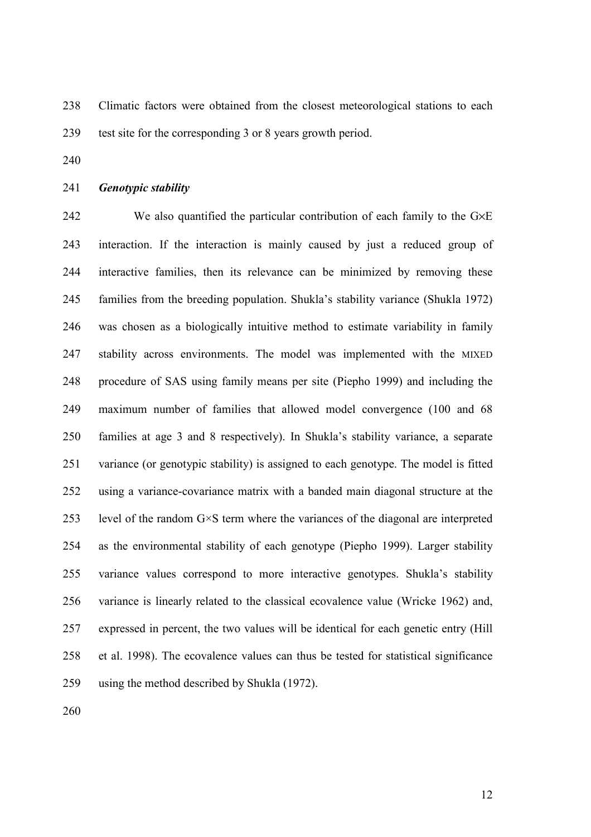238 Climatic factors were obtained from the closest meteorological stations to each 239 test site for the corresponding 3 or 8 years growth period.

240

#### 241 *Genotypic stability*

242 We also quantified the particular contribution of each family to the G×E 243 interaction. If the interaction is mainly caused by just a reduced group of 244 interactive families, then its relevance can be minimized by removing these 245 families from the breeding population. Shukla's stability variance (Shukla 1972) 246 was chosen as a biologically intuitive method to estimate variability in family 247 stability across environments. The model was implemented with the MIXED 248 procedure of SAS using family means per site (Piepho 1999) and including the 249 maximum number of families that allowed model convergence (100 and 68 250 families at age 3 and 8 respectively). In Shukla's stability variance, a separate 251 variance (or genotypic stability) is assigned to each genotype. The model is fitted 252 using a variance-covariance matrix with a banded main diagonal structure at the 253 level of the random  $G \times S$  term where the variances of the diagonal are interpreted 254 as the environmental stability of each genotype (Piepho 1999). Larger stability 255 variance values correspond to more interactive genotypes. Shukla's stability 256 variance is linearly related to the classical ecovalence value (Wricke 1962) and, 257 expressed in percent, the two values will be identical for each genetic entry (Hill 258 et al. 1998). The ecovalence values can thus be tested for statistical significance 259 using the method described by Shukla (1972).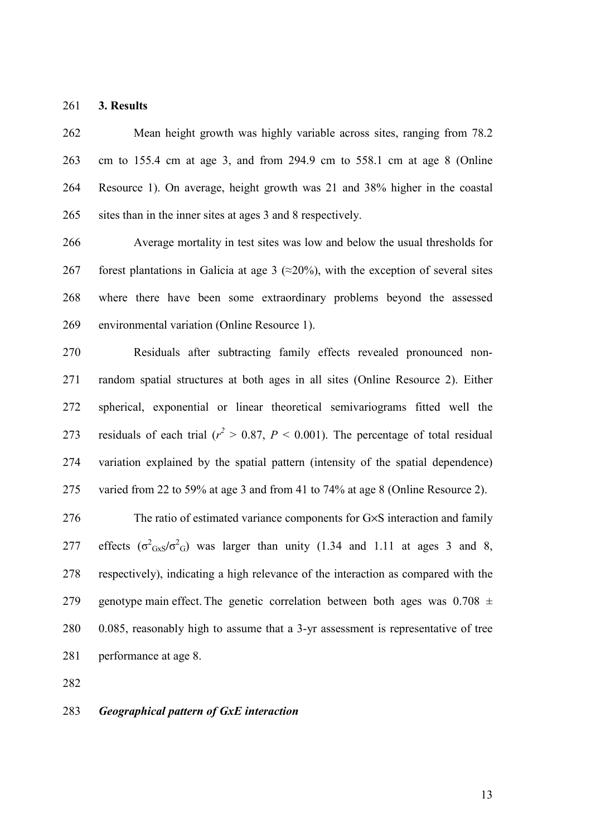261 **3. Results** 

262 Mean height growth was highly variable across sites, ranging from 78.2 263 cm to 155.4 cm at age 3, and from 294.9 cm to 558.1 cm at age 8 (Online 264 Resource 1). On average, height growth was 21 and 38% higher in the coastal 265 sites than in the inner sites at ages 3 and 8 respectively.

266 Average mortality in test sites was low and below the usual thresholds for 267 forest plantations in Galicia at age 3 ( $\approx$ 20%), with the exception of several sites 268 where there have been some extraordinary problems beyond the assessed 269 environmental variation (Online Resource 1).

270 Residuals after subtracting family effects revealed pronounced non-271 random spatial structures at both ages in all sites (Online Resource 2). Either 272 spherical, exponential or linear theoretical semivariograms fitted well the 273 residuals of each trial ( $r^2 > 0.87$ ,  $P < 0.001$ ). The percentage of total residual 274 variation explained by the spatial pattern (intensity of the spatial dependence) 275 varied from 22 to 59% at age 3 and from 41 to 74% at age 8 (Online Resource 2).

276 The ratio of estimated variance components for G×S interaction and family 277 effects  $(\sigma^2$ <sub>GxS</sub>/ $\sigma^2$ <sub>G</sub>) was larger than unity (1.34 and 1.11 at ages 3 and 8, 278 respectively), indicating a high relevance of the interaction as compared with the 279 genotype main effect. The genetic correlation between both ages was  $0.708 \pm 1$ 280 0.085, reasonably high to assume that a 3-yr assessment is representative of tree 281 performance at age 8.

282

#### 283 *Geographical pattern of GxE interaction*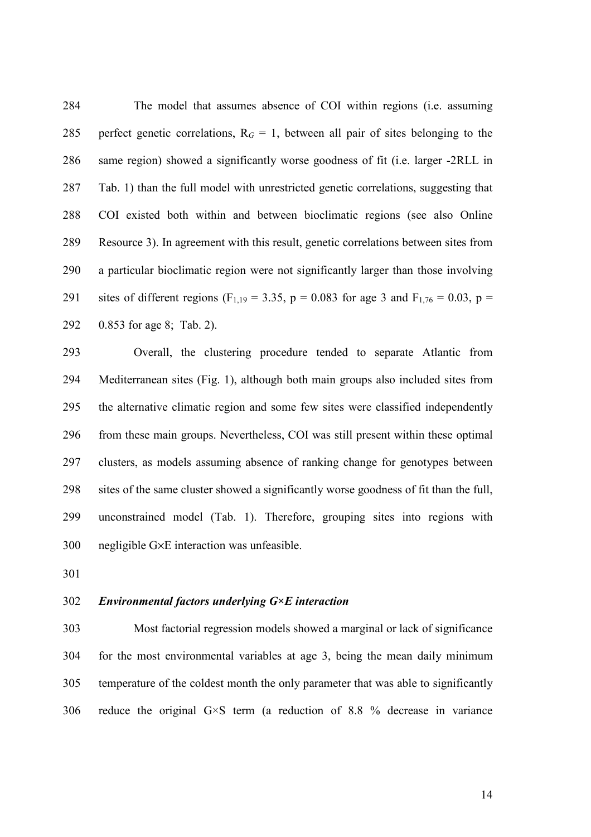284 The model that assumes absence of COI within regions (i.e. assuming 285 perfect genetic correlations,  $R_G = 1$ , between all pair of sites belonging to the 286 same region) showed a significantly worse goodness of fit (i.e. larger -2RLL in 287 Tab. 1) than the full model with unrestricted genetic correlations, suggesting that 288 COI existed both within and between bioclimatic regions (see also Online 289 Resource 3). In agreement with this result, genetic correlations between sites from 290 a particular bioclimatic region were not significantly larger than those involving 291 sites of different regions (F<sub>1,19</sub> = 3.35, p = 0.083 for age 3 and F<sub>1,76</sub> = 0.03, p = 292 0.853 for age 8; Tab. 2).

293 Overall, the clustering procedure tended to separate Atlantic from 294 Mediterranean sites (Fig. 1), although both main groups also included sites from 295 the alternative climatic region and some few sites were classified independently 296 from these main groups. Nevertheless, COI was still present within these optimal 297 clusters, as models assuming absence of ranking change for genotypes between 298 sites of the same cluster showed a significantly worse goodness of fit than the full, 299 unconstrained model (Tab. 1). Therefore, grouping sites into regions with 300 negligible G×E interaction was unfeasible.

301

#### 302 *Environmental factors underlying G×E interaction*

303 Most factorial regression models showed a marginal or lack of significance 304 for the most environmental variables at age 3, being the mean daily minimum 305 temperature of the coldest month the only parameter that was able to significantly 306 reduce the original G×S term (a reduction of 8.8 % decrease in variance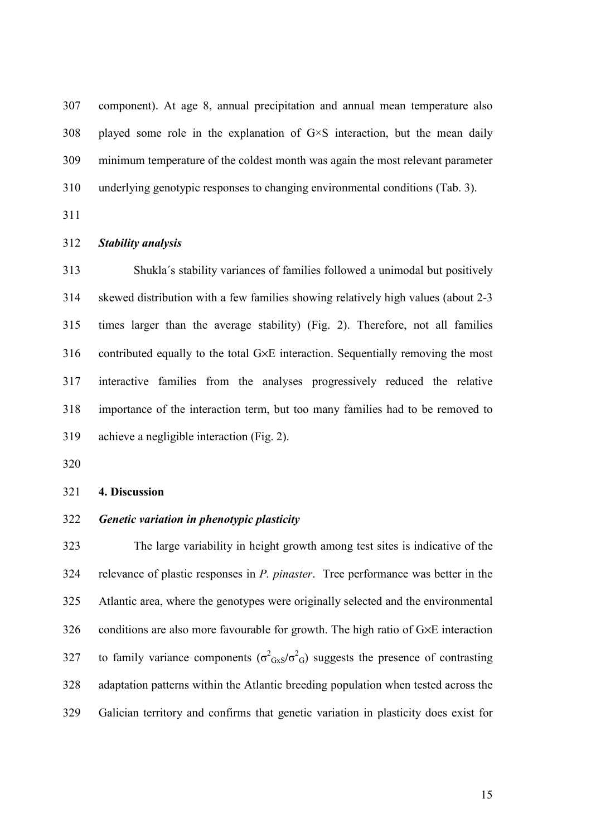307 component). At age 8, annual precipitation and annual mean temperature also  $308$  played some role in the explanation of  $G \times S$  interaction, but the mean daily 309 minimum temperature of the coldest month was again the most relevant parameter 310 underlying genotypic responses to changing environmental conditions (Tab. 3).

311

#### 312 *Stability analysis*

313 Shukla´s stability variances of families followed a unimodal but positively 314 skewed distribution with a few families showing relatively high values (about 2-3 315 times larger than the average stability) (Fig. 2). Therefore, not all families 316 contributed equally to the total G×E interaction. Sequentially removing the most 317 interactive families from the analyses progressively reduced the relative 318 importance of the interaction term, but too many families had to be removed to 319 achieve a negligible interaction (Fig. 2).

320

#### 321 **4. Discussion**

#### 322 *Genetic variation in phenotypic plasticity*

323 The large variability in height growth among test sites is indicative of the 324 relevance of plastic responses in *P. pinaster*. Tree performance was better in the 325 Atlantic area, where the genotypes were originally selected and the environmental 326 conditions are also more favourable for growth. The high ratio of G×E interaction 327 to family variance components ( $\sigma^2$ <sub>GxS</sub>/ $\sigma^2$ <sub>G</sub>) suggests the presence of contrasting 328 adaptation patterns within the Atlantic breeding population when tested across the 329 Galician territory and confirms that genetic variation in plasticity does exist for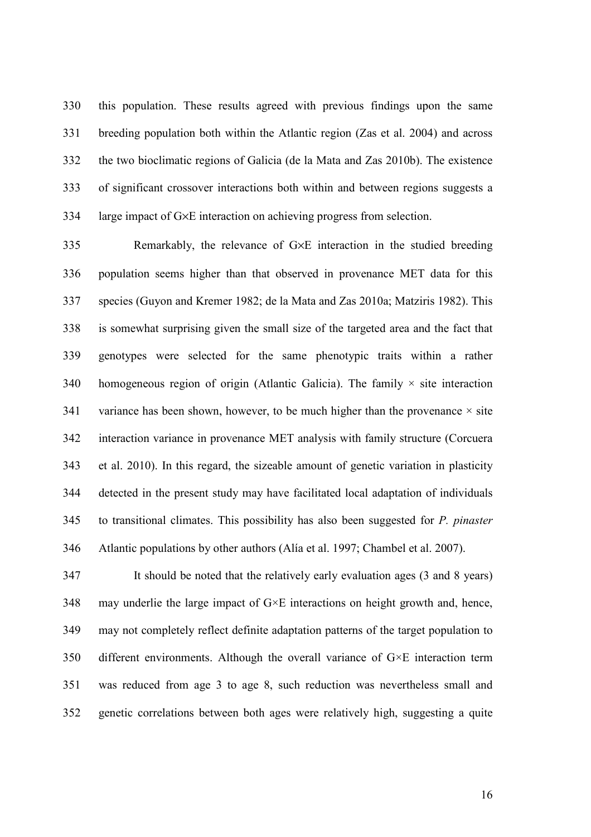330 this population. These results agreed with previous findings upon the same 331 breeding population both within the Atlantic region (Zas et al. 2004) and across 332 the two bioclimatic regions of Galicia (de la Mata and Zas 2010b). The existence 333 of significant crossover interactions both within and between regions suggests a 334 large impact of G×E interaction on achieving progress from selection.

335 Remarkably, the relevance of G×E interaction in the studied breeding 336 population seems higher than that observed in provenance MET data for this 337 species (Guyon and Kremer 1982; de la Mata and Zas 2010a; Matziris 1982). This 338 is somewhat surprising given the small size of the targeted area and the fact that 339 genotypes were selected for the same phenotypic traits within a rather 340 homogeneous region of origin (Atlantic Galicia). The family  $\times$  site interaction 341 variance has been shown, however, to be much higher than the provenance  $\times$  site 342 interaction variance in provenance MET analysis with family structure (Corcuera 343 et al. 2010). In this regard, the sizeable amount of genetic variation in plasticity 344 detected in the present study may have facilitated local adaptation of individuals 345 to transitional climates. This possibility has also been suggested for *P. pinaster* 346 Atlantic populations by other authors (Alía et al. 1997; Chambel et al. 2007).

347 It should be noted that the relatively early evaluation ages (3 and 8 years) 348 may underlie the large impact of  $G \times E$  interactions on height growth and, hence, 349 may not completely reflect definite adaptation patterns of the target population to 350 different environments. Although the overall variance of G×E interaction term 351 was reduced from age 3 to age 8, such reduction was nevertheless small and 352 genetic correlations between both ages were relatively high, suggesting a quite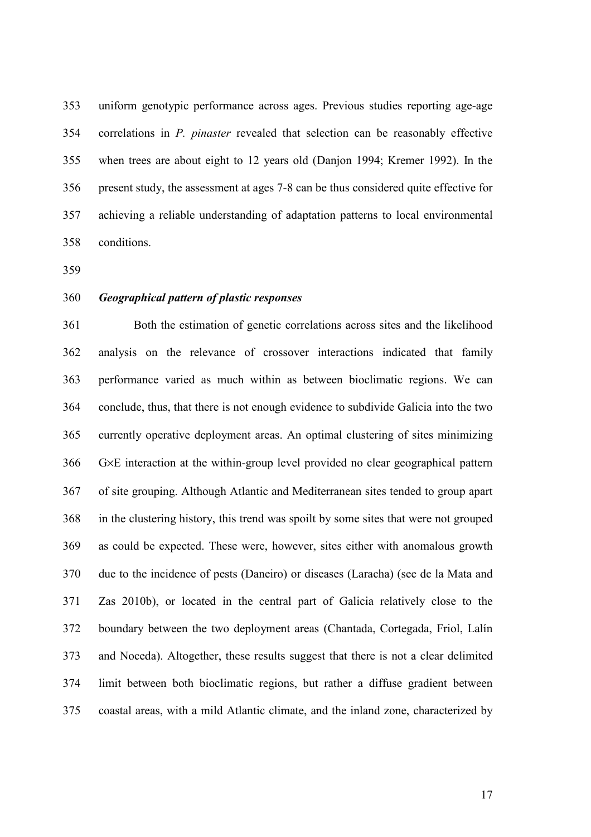353 uniform genotypic performance across ages. Previous studies reporting age-age 354 correlations in *P. pinaster* revealed that selection can be reasonably effective 355 when trees are about eight to 12 years old (Danjon 1994; Kremer 1992). In the 356 present study, the assessment at ages 7-8 can be thus considered quite effective for 357 achieving a reliable understanding of adaptation patterns to local environmental 358 conditions.

359

#### 360 *Geographical pattern of plastic responses*

361 Both the estimation of genetic correlations across sites and the likelihood 362 analysis on the relevance of crossover interactions indicated that family 363 performance varied as much within as between bioclimatic regions. We can 364 conclude, thus, that there is not enough evidence to subdivide Galicia into the two 365 currently operative deployment areas. An optimal clustering of sites minimizing 366 G×E interaction at the within-group level provided no clear geographical pattern 367 of site grouping. Although Atlantic and Mediterranean sites tended to group apart 368 in the clustering history, this trend was spoilt by some sites that were not grouped 369 as could be expected. These were, however, sites either with anomalous growth 370 due to the incidence of pests (Daneiro) or diseases (Laracha) (see de la Mata and 371 Zas 2010b), or located in the central part of Galicia relatively close to the 372 boundary between the two deployment areas (Chantada, Cortegada, Friol, Lalín 373 and Noceda). Altogether, these results suggest that there is not a clear delimited 374 limit between both bioclimatic regions, but rather a diffuse gradient between 375 coastal areas, with a mild Atlantic climate, and the inland zone, characterized by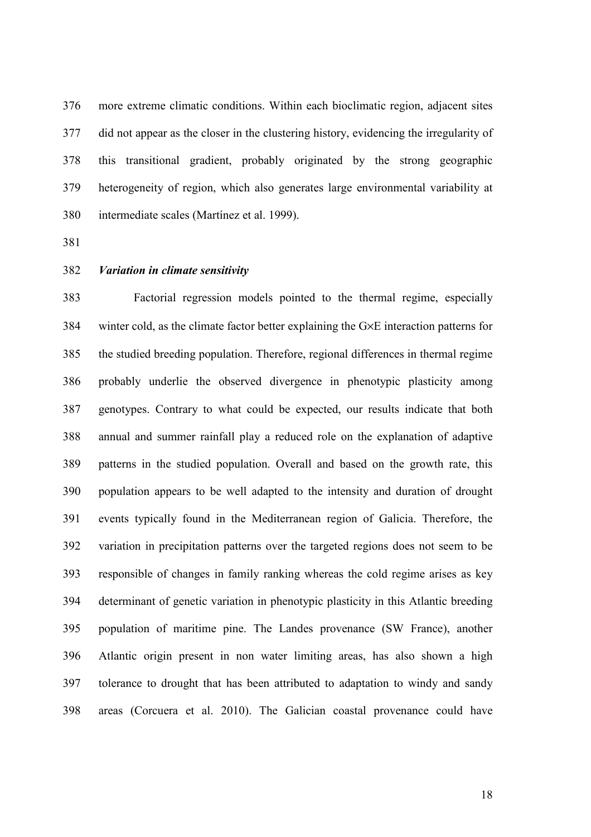376 more extreme climatic conditions. Within each bioclimatic region, adjacent sites 377 did not appear as the closer in the clustering history, evidencing the irregularity of 378 this transitional gradient, probably originated by the strong geographic 379 heterogeneity of region, which also generates large environmental variability at 380 intermediate scales (Martínez et al. 1999).

- 381
- 382 *Variation in climate sensitivity*

383 Factorial regression models pointed to the thermal regime, especially 384 winter cold, as the climate factor better explaining the G×E interaction patterns for 385 the studied breeding population. Therefore, regional differences in thermal regime 386 probably underlie the observed divergence in phenotypic plasticity among 387 genotypes. Contrary to what could be expected, our results indicate that both 388 annual and summer rainfall play a reduced role on the explanation of adaptive 389 patterns in the studied population. Overall and based on the growth rate, this 390 population appears to be well adapted to the intensity and duration of drought 391 events typically found in the Mediterranean region of Galicia. Therefore, the 392 variation in precipitation patterns over the targeted regions does not seem to be 393 responsible of changes in family ranking whereas the cold regime arises as key 394 determinant of genetic variation in phenotypic plasticity in this Atlantic breeding 395 population of maritime pine. The Landes provenance (SW France), another 396 Atlantic origin present in non water limiting areas, has also shown a high 397 tolerance to drought that has been attributed to adaptation to windy and sandy 398 areas (Corcuera et al. 2010). The Galician coastal provenance could have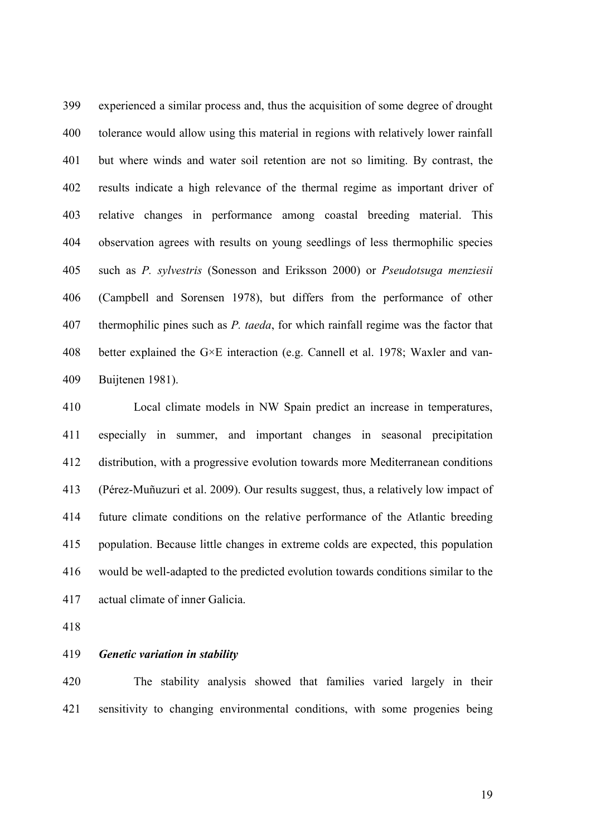399 experienced a similar process and, thus the acquisition of some degree of drought 400 tolerance would allow using this material in regions with relatively lower rainfall 401 but where winds and water soil retention are not so limiting. By contrast, the 402 results indicate a high relevance of the thermal regime as important driver of 403 relative changes in performance among coastal breeding material. This 404 observation agrees with results on young seedlings of less thermophilic species 405 such as *P. sylvestris* (Sonesson and Eriksson 2000) or *Pseudotsuga menziesii* 406 (Campbell and Sorensen 1978), but differs from the performance of other 407 thermophilic pines such as *P. taeda*, for which rainfall regime was the factor that 408 better explained the G×E interaction (e.g. Cannell et al. 1978; Waxler and van-409 Buijtenen 1981).

410 Local climate models in NW Spain predict an increase in temperatures, 411 especially in summer, and important changes in seasonal precipitation 412 distribution, with a progressive evolution towards more Mediterranean conditions 413 (Pérez-Muñuzuri et al. 2009). Our results suggest, thus, a relatively low impact of 414 future climate conditions on the relative performance of the Atlantic breeding 415 population. Because little changes in extreme colds are expected, this population 416 would be well-adapted to the predicted evolution towards conditions similar to the 417 actual climate of inner Galicia.

418

#### 419 *Genetic variation in stability*

420 The stability analysis showed that families varied largely in their 421 sensitivity to changing environmental conditions, with some progenies being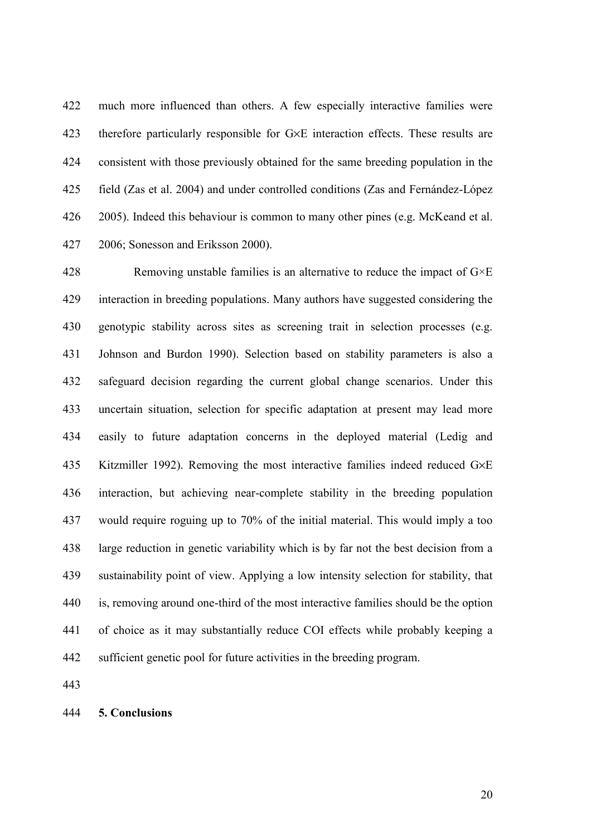422 much more influenced than others. A few especially interactive families were 423 therefore particularly responsible for G×E interaction effects. These results are 424 consistent with those previously obtained for the same breeding population in the 425 field (Zas et al. 2004) and under controlled conditions (Zas and Fernández-López 426 2005). Indeed this behaviour is common to many other pines (e.g. McKeand et al. 427 2006; Sonesson and Eriksson 2000).

428 Removing unstable families is an alternative to reduce the impact of  $G \times E$ 429 interaction in breeding populations. Many authors have suggested considering the 430 genotypic stability across sites as screening trait in selection processes (e.g. 431 Johnson and Burdon 1990). Selection based on stability parameters is also a 432 safeguard decision regarding the current global change scenarios. Under this 433 uncertain situation, selection for specific adaptation at present may lead more 434 easily to future adaptation concerns in the deployed material (Ledig and 435 Kitzmiller 1992). Removing the most interactive families indeed reduced G×E 436 interaction, but achieving near-complete stability in the breeding population 437 would require roguing up to 70% of the initial material. This would imply a too 438 large reduction in genetic variability which is by far not the best decision from a 439 sustainability point of view. Applying a low intensity selection for stability, that 440 is, removing around one-third of the most interactive families should be the option 441 of choice as it may substantially reduce COI effects while probably keeping a 442 sufficient genetic pool for future activities in the breeding program.

443

## 444 **5. Conclusions**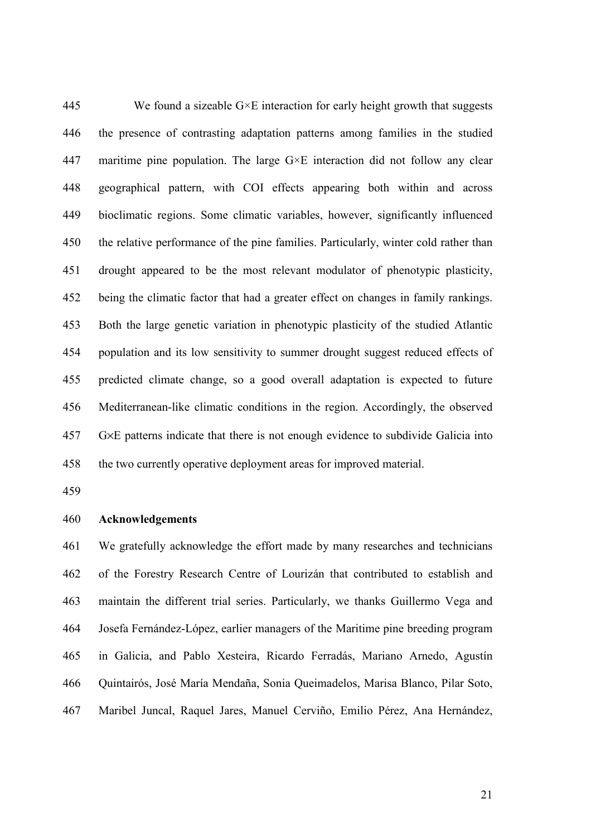445 We found a sizeable  $G \times E$  interaction for early height growth that suggests 446 the presence of contrasting adaptation patterns among families in the studied 447 maritime pine population. The large  $G \times E$  interaction did not follow any clear 448 geographical pattern, with COI effects appearing both within and across 449 bioclimatic regions. Some climatic variables, however, significantly influenced 450 the relative performance of the pine families. Particularly, winter cold rather than 451 drought appeared to be the most relevant modulator of phenotypic plasticity, 452 being the climatic factor that had a greater effect on changes in family rankings. 453 Both the large genetic variation in phenotypic plasticity of the studied Atlantic 454 population and its low sensitivity to summer drought suggest reduced effects of 455 predicted climate change, so a good overall adaptation is expected to future 456 Mediterranean-like climatic conditions in the region. Accordingly, the observed 457 G×E patterns indicate that there is not enough evidence to subdivide Galicia into 458 the two currently operative deployment areas for improved material.

459

#### 460 **Acknowledgements**

461 We gratefully acknowledge the effort made by many researches and technicians 462 of the Forestry Research Centre of Lourizán that contributed to establish and 463 maintain the different trial series. Particularly, we thanks Guillermo Vega and 464 Josefa Fernández-López, earlier managers of the Maritime pine breeding program 465 in Galicia, and Pablo Xesteira, Ricardo Ferradás, Mariano Arnedo, Agustín 466 Quintairós, José María Mendaña, Sonia Queimadelos, Marisa Blanco, Pilar Soto, 467 Maribel Juncal, Raquel Jares, Manuel Cerviño, Emilio Pérez, Ana Hernández,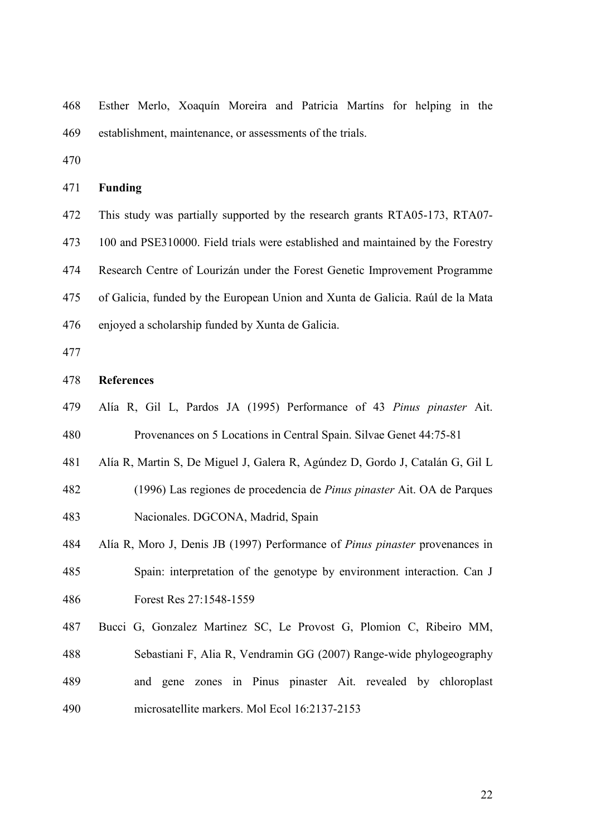468 Esther Merlo, Xoaquín Moreira and Patricia Martíns for helping in the 469 establishment, maintenance, or assessments of the trials.

470

#### 471 **Funding**

472 This study was partially supported by the research grants RTA05-173, RTA07-

473 100 and PSE310000. Field trials were established and maintained by the Forestry

474 Research Centre of Lourizán under the Forest Genetic Improvement Programme

475 of Galicia, funded by the European Union and Xunta de Galicia. Raúl de la Mata

476 enjoyed a scholarship funded by Xunta de Galicia.

477

#### 478 **References**

- 479 Alía R, Gil L, Pardos JA (1995) Performance of 43 *Pinus pinaster* Ait. 480 Provenances on 5 Locations in Central Spain. Silvae Genet 44:75-81
- 481 Alía R, Martin S, De Miguel J, Galera R, Agúndez D, Gordo J, Catalán G, Gil L
- 482 (1996) Las regiones de procedencia de *Pinus pinaster* Ait. OA de Parques 483 Nacionales. DGCONA, Madrid, Spain
- 484 Alía R, Moro J, Denis JB (1997) Performance of *Pinus pinaster* provenances in 485 Spain: interpretation of the genotype by environment interaction. Can J 486 Forest Res 27:1548-1559
- 487 Bucci G, Gonzalez Martinez SC, Le Provost G, Plomion C, Ribeiro MM, 488 Sebastiani F, Alia R, Vendramin GG (2007) Range-wide phylogeography 489 and gene zones in Pinus pinaster Ait. revealed by chloroplast 490 microsatellite markers. Mol Ecol 16:2137-2153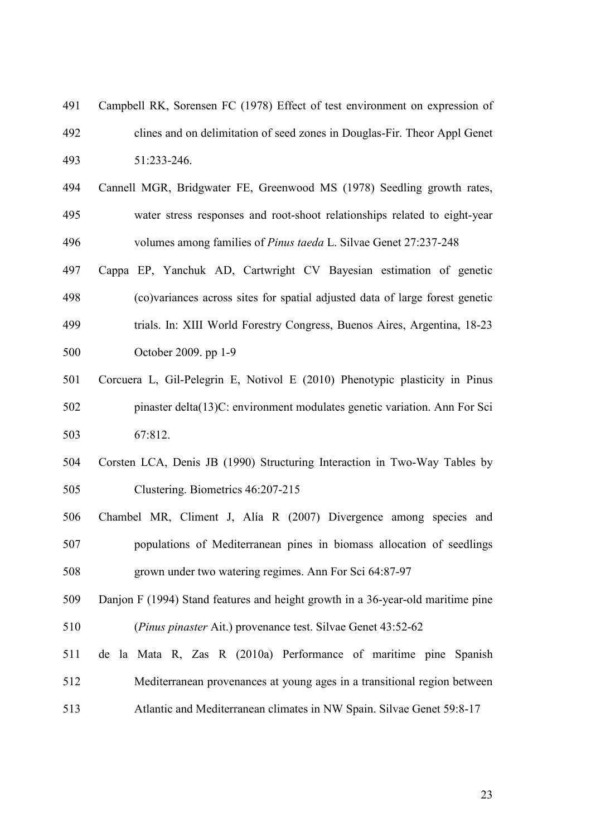- 491 Campbell RK, Sorensen FC (1978) Effect of test environment on expression of 492 clines and on delimitation of seed zones in Douglas-Fir. Theor Appl Genet 493 51:233-246.
- 494 Cannell MGR, Bridgwater FE, Greenwood MS (1978) Seedling growth rates, 495 water stress responses and root-shoot relationships related to eight-year 496 volumes among families of *Pinus taeda* L. Silvae Genet 27:237-248
- 497 Cappa EP, Yanchuk AD, Cartwright CV Bayesian estimation of genetic 498 (co)variances across sites for spatial adjusted data of large forest genetic 499 trials. In: XIII World Forestry Congress, Buenos Aires, Argentina, 18-23 500 October 2009. pp 1-9
- 501 Corcuera L, Gil-Pelegrin E, Notivol E (2010) Phenotypic plasticity in Pinus 502 pinaster delta(13)C: environment modulates genetic variation. Ann For Sci 503 67:812.
- 504 Corsten LCA, Denis JB (1990) Structuring Interaction in Two-Way Tables by 505 Clustering. Biometrics 46:207-215
- 506 Chambel MR, Climent J, Alía R (2007) Divergence among species and
- 507 populations of Mediterranean pines in biomass allocation of seedlings 508 grown under two watering regimes. Ann For Sci 64:87-97
- 509 Danjon F (1994) Stand features and height growth in a 36-year-old maritime pine 510 (*Pinus pinaster* Ait.) provenance test. Silvae Genet 43:52-62
- 511 de la Mata R, Zas R (2010a) Performance of maritime pine Spanish 512 Mediterranean provenances at young ages in a transitional region between 513 Atlantic and Mediterranean climates in NW Spain. Silvae Genet 59:8-17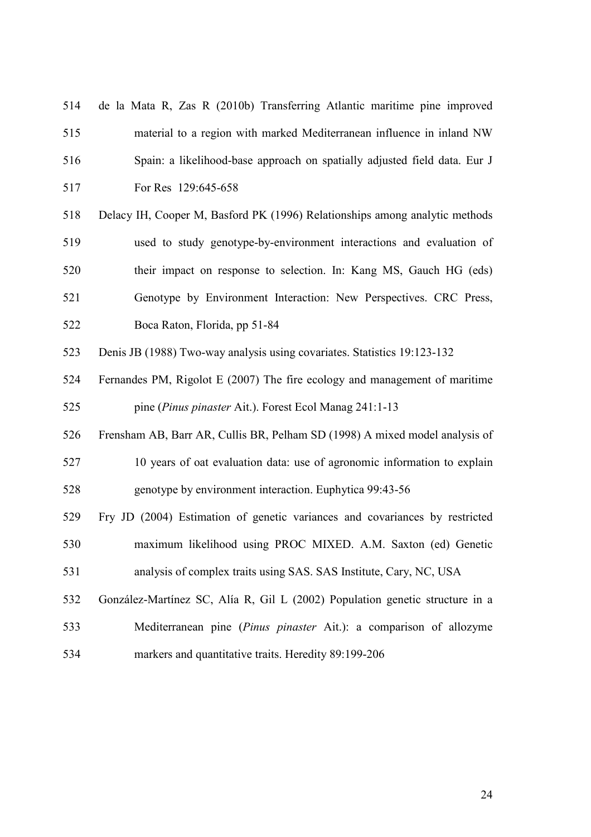| 514 | de la Mata R, Zas R (2010b) Transferring Atlantic maritime pine improved     |
|-----|------------------------------------------------------------------------------|
| 515 | material to a region with marked Mediterranean influence in inland NW        |
| 516 | Spain: a likelihood-base approach on spatially adjusted field data. Eur J    |
| 517 | For Res 129:645-658                                                          |
| 518 | Delacy IH, Cooper M, Basford PK (1996) Relationships among analytic methods  |
| 519 | used to study genotype-by-environment interactions and evaluation of         |
| 520 | their impact on response to selection. In: Kang MS, Gauch HG (eds)           |
| 521 | Genotype by Environment Interaction: New Perspectives. CRC Press,            |
| 522 | Boca Raton, Florida, pp 51-84                                                |
| 523 | Denis JB (1988) Two-way analysis using covariates. Statistics 19:123-132     |
| 524 | Fernandes PM, Rigolot E (2007) The fire ecology and management of maritime   |
| 525 | pine (Pinus pinaster Ait.). Forest Ecol Manag 241:1-13                       |
| 526 | Frensham AB, Barr AR, Cullis BR, Pelham SD (1998) A mixed model analysis of  |
| 527 | 10 years of oat evaluation data: use of agronomic information to explain     |
| 528 | genotype by environment interaction. Euphytica 99:43-56                      |
| 529 | Fry JD (2004) Estimation of genetic variances and covariances by restricted  |
| 530 | maximum likelihood using PROC MIXED. A.M. Saxton (ed) Genetic                |
| 531 | analysis of complex traits using SAS. SAS Institute, Cary, NC, USA           |
| 532 | González-Martínez SC, Alía R, Gil L (2002) Population genetic structure in a |
| 533 | Mediterranean pine (Pinus pinaster Ait.): a comparison of allozyme           |
| 534 | markers and quantitative traits. Heredity 89:199-206                         |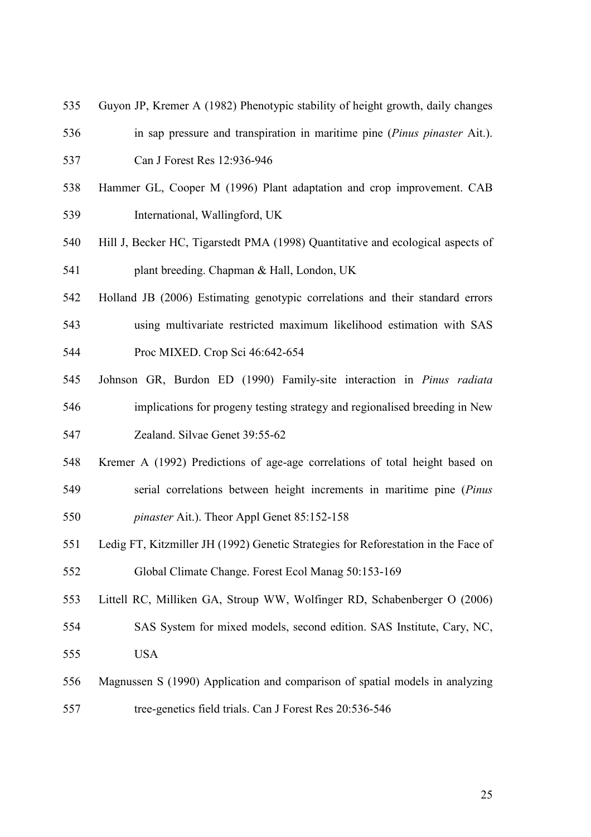- 535 Guyon JP, Kremer A (1982) Phenotypic stability of height growth, daily changes
- 536 in sap pressure and transpiration in maritime pine (*Pinus pinaster* Ait.). 537 Can J Forest Res 12:936-946
- 538 Hammer GL, Cooper M (1996) Plant adaptation and crop improvement. CAB 539 International, Wallingford, UK
- 540 Hill J, Becker HC, Tigarstedt PMA (1998) Quantitative and ecological aspects of 541 plant breeding. Chapman & Hall, London, UK
- 542 Holland JB (2006) Estimating genotypic correlations and their standard errors
- 543 using multivariate restricted maximum likelihood estimation with SAS

544 Proc MIXED. Crop Sci 46:642-654

- 545 Johnson GR, Burdon ED (1990) Family-site interaction in *Pinus radiata* 546 implications for progeny testing strategy and regionalised breeding in New 547 Zealand. Silvae Genet 39:55-62
- 548 Kremer A (1992) Predictions of age-age correlations of total height based on 549 serial correlations between height increments in maritime pine (*Pinus*  550 *pinaster* Ait.). Theor Appl Genet 85:152-158
- 551 Ledig FT, Kitzmiller JH (1992) Genetic Strategies for Reforestation in the Face of 552 Global Climate Change. Forest Ecol Manag 50:153-169
- 553 Littell RC, Milliken GA, Stroup WW, Wolfinger RD, Schabenberger O (2006)
- 554 SAS System for mixed models, second edition. SAS Institute, Cary, NC, 555 USA
- 556 Magnussen S (1990) Application and comparison of spatial models in analyzing 557 tree-genetics field trials. Can J Forest Res 20:536-546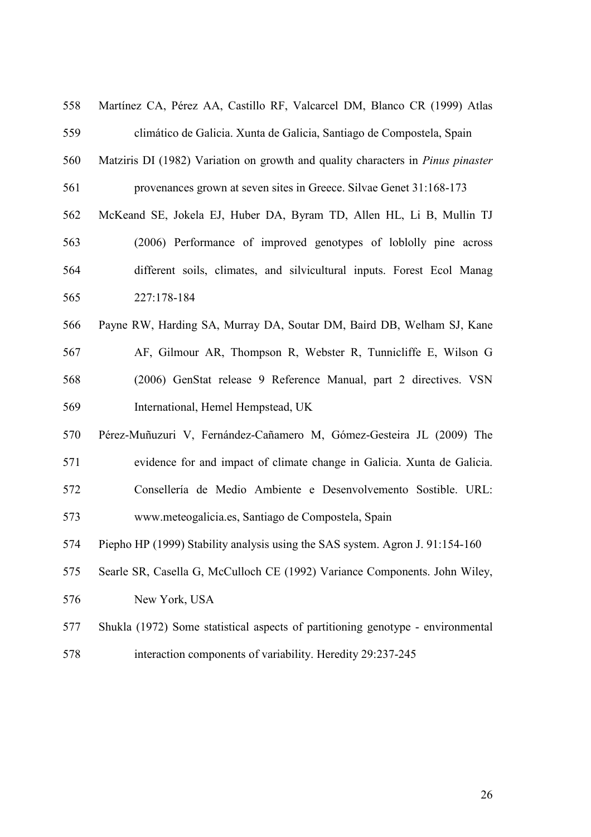| 558 | Martínez CA, Pérez AA, Castillo RF, Valcarcel DM, Blanco CR (1999) Atlas               |
|-----|----------------------------------------------------------------------------------------|
| 559 | climático de Galicia. Xunta de Galicia, Santiago de Compostela, Spain                  |
| 560 | Matziris DI (1982) Variation on growth and quality characters in <i>Pinus pinaster</i> |
| 561 | provenances grown at seven sites in Greece. Silvae Genet 31:168-173                    |
| 562 | McKeand SE, Jokela EJ, Huber DA, Byram TD, Allen HL, Li B, Mullin TJ                   |
| 563 | (2006) Performance of improved genotypes of lobolly pine across                        |
| 564 | different soils, climates, and silvicultural inputs. Forest Ecol Manag                 |
| 565 | 227:178-184                                                                            |
| 566 | Payne RW, Harding SA, Murray DA, Soutar DM, Baird DB, Welham SJ, Kane                  |
| 567 | AF, Gilmour AR, Thompson R, Webster R, Tunnicliffe E, Wilson G                         |
| 568 | (2006) GenStat release 9 Reference Manual, part 2 directives. VSN                      |
| 569 | International, Hemel Hempstead, UK                                                     |
| 570 | Pérez-Muñuzuri V, Fernández-Cañamero M, Gómez-Gesteira JL (2009) The                   |
| 571 | evidence for and impact of climate change in Galicia. Xunta de Galicia.                |
| 572 | Consellería de Medio Ambiente e Desenvolvemento Sostible. URL:                         |
| 573 | www.meteogalicia.es, Santiago de Compostela, Spain                                     |
| 574 | Piepho HP (1999) Stability analysis using the SAS system. Agron J. 91:154-160          |
| 575 | Searle SR, Casella G, McCulloch CE (1992) Variance Components. John Wiley,             |
| 576 | New York, USA                                                                          |
| 577 | Shukla (1972) Some statistical aspects of partitioning genotype - environmental        |
| 578 | interaction components of variability. Heredity 29:237-245                             |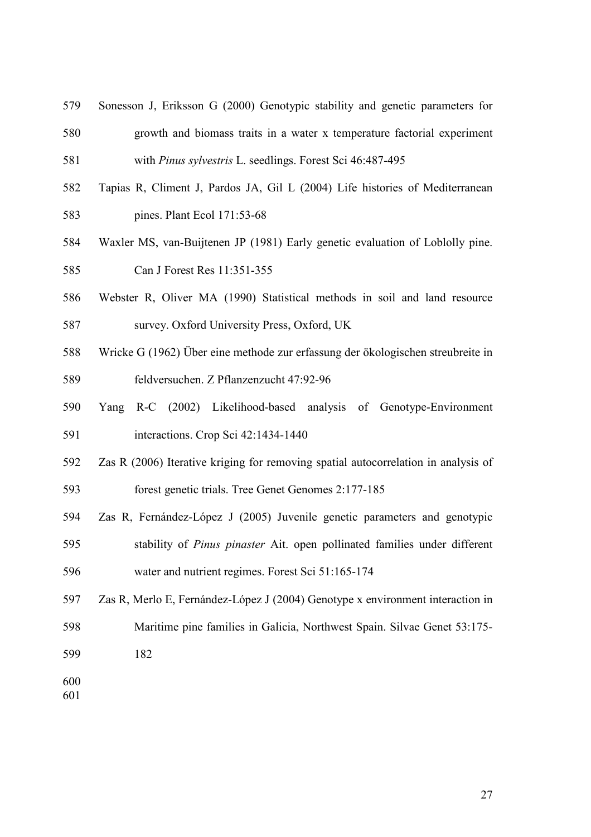- 579 Sonesson J, Eriksson G (2000) Genotypic stability and genetic parameters for
- 580 growth and biomass traits in a water x temperature factorial experiment 581 with *Pinus sylvestris* L. seedlings. Forest Sci 46:487-495
- 582 Tapias R, Climent J, Pardos JA, Gil L (2004) Life histories of Mediterranean 583 pines. Plant Ecol 171:53-68
- 584 Waxler MS, van-Buijtenen JP (1981) Early genetic evaluation of Loblolly pine.

585 Can J Forest Res 11:351-355

- 586 Webster R, Oliver MA (1990) Statistical methods in soil and land resource 587 survey. Oxford University Press, Oxford, UK
- 588 Wricke G (1962) Über eine methode zur erfassung der ökologischen streubreite in 589 feldversuchen. Z Pflanzenzucht 47:92-96
- 590 Yang R-C (2002) Likelihood-based analysis of Genotype-Environment 591 interactions. Crop Sci 42:1434-1440
- 592 Zas R (2006) Iterative kriging for removing spatial autocorrelation in analysis of 593 forest genetic trials. Tree Genet Genomes 2:177-185
- 594 Zas R, Fernández-López J (2005) Juvenile genetic parameters and genotypic 595 stability of *Pinus pinaster* Ait. open pollinated families under different
- 596 water and nutrient regimes. Forest Sci 51:165-174
- 597 Zas R, Merlo E, Fernández-López J (2004) Genotype x environment interaction in
- 598 Maritime pine families in Galicia, Northwest Spain. Silvae Genet 53:175-
- 599 182
- 600
- 601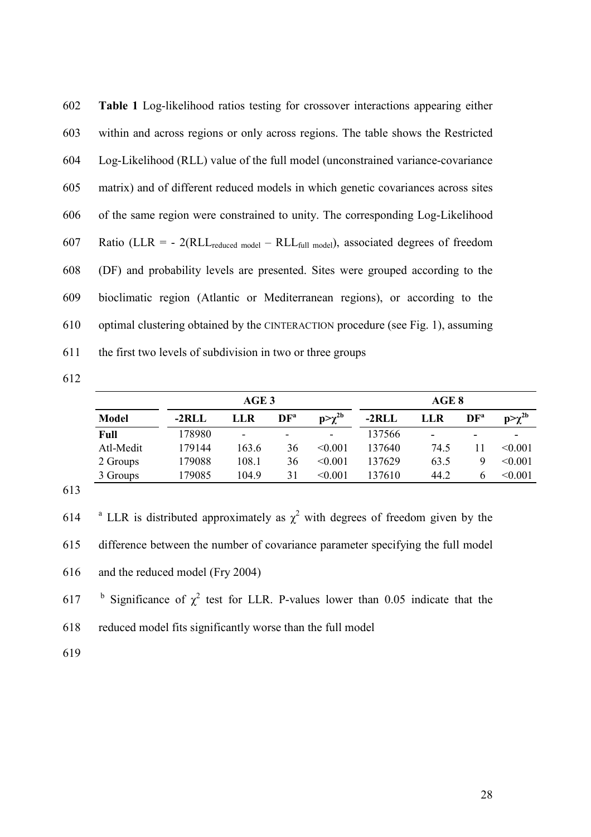| 602 | Table 1 Log-likelihood ratios testing for crossover interactions appearing either         |
|-----|-------------------------------------------------------------------------------------------|
| 603 | within and across regions or only across regions. The table shows the Restricted          |
| 604 | Log-Likelihood (RLL) value of the full model (unconstrained variance-covariance           |
| 605 | matrix) and of different reduced models in which genetic covariances across sites         |
| 606 | of the same region were constrained to unity. The corresponding Log-Likelihood            |
| 607 | Ratio (LLR = $-2(RLL_{reduced model} - RLL_{full model})$ , associated degrees of freedom |
| 608 | (DF) and probability levels are presented. Sites were grouped according to the            |
| 609 | bioclimatic region (Atlantic or Mediterranean regions), or according to the               |
| 610 | optimal clustering obtained by the CINTERACTION procedure (see Fig. 1), assuming          |
| 611 | the first two levels of subdivision in two or three groups                                |

|              |         | AGE <sub>3</sub>         |                          | AGE 8         |         |      |                 |               |  |  |
|--------------|---------|--------------------------|--------------------------|---------------|---------|------|-----------------|---------------|--|--|
| <b>Model</b> | $-2RLL$ | LLR                      | DF <sup>a</sup>          | $p>\chi^{2b}$ | $-2RLL$ | LLR  | DF <sup>a</sup> | $p>\chi^{2b}$ |  |  |
| Full         | 178980  | $\overline{\phantom{0}}$ | $\overline{\phantom{0}}$ | ۰             | 137566  | -    | -               | -             |  |  |
| Atl-Medit    | 179144  | 163.6                    | 36                       | < 0.001       | 137640  | 74.5 |                 | < 0.001       |  |  |
| 2 Groups     | 179088  | 108.1                    | 36                       | < 0.001       | 137629  | 63.5 | 9               | < 0.001       |  |  |
| 3 Groups     | 179085  | 104.9                    | 31                       | < 0.001       | 137610  | 44.2 | <sub>0</sub>    | < 0.001       |  |  |

613

614 <sup>a</sup> LLR is distributed approximately as  $\chi^2$  with degrees of freedom given by the

615 difference between the number of covariance parameter specifying the full model

616 and the reduced model (Fry 2004)

617 b Significance of  $\chi^2$  test for LLR. P-values lower than 0.05 indicate that the

618 reduced model fits significantly worse than the full model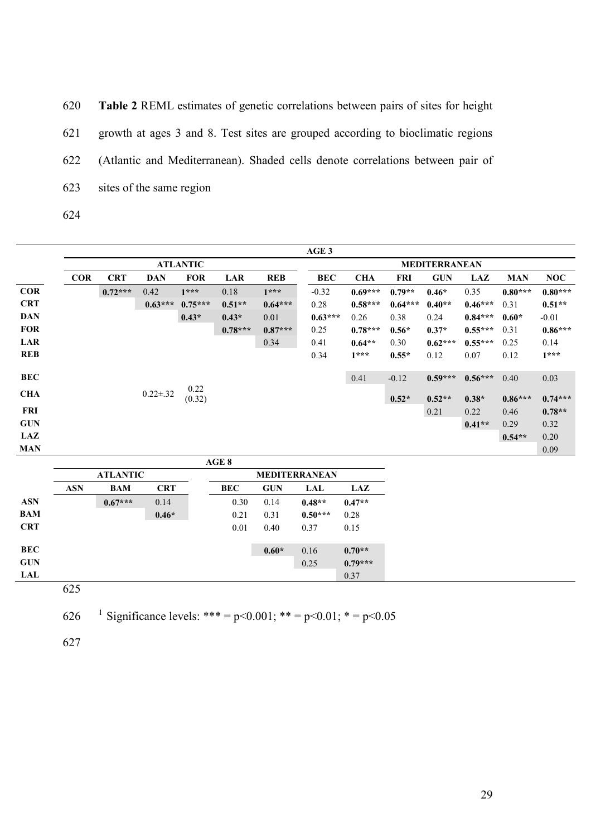620 **Table 2** REML estimates of genetic correlations between pairs of sites for height 621 growth at ages 3 and 8. Test sites are grouped according to bioclimatic regions 622 (Atlantic and Mediterranean). Shaded cells denote correlations between pair of 623 sites of the same region 624

|            |            |            |                |                 |           |            | AGE3      |            |            |                      |            |            |            |
|------------|------------|------------|----------------|-----------------|-----------|------------|-----------|------------|------------|----------------------|------------|------------|------------|
|            |            |            |                | <b>ATLANTIC</b> |           |            |           |            |            | <b>MEDITERRANEAN</b> |            |            |            |
|            | <b>COR</b> | <b>CRT</b> | <b>DAN</b>     | <b>FOR</b>      | LAR       | <b>REB</b> | BEC       | <b>CHA</b> | <b>FRI</b> | <b>GUN</b>           | <b>LAZ</b> | <b>MAN</b> | <b>NOC</b> |
| <b>COR</b> |            | $0.72***$  | 0.42           | $1***$          | 0.18      | $1***$     | $-0.32$   | $0.69***$  | $0.79**$   | $0.46*$              | 0.35       | $0.80***$  | $0.80***$  |
| <b>CRT</b> |            |            | $0.63***$      | $0.75***$       | $0.51**$  | $0.64***$  | 0.28      | $0.58***$  | $0.64***$  | $0.40**$             | $0.46***$  | 0.31       | $0.51**$   |
| <b>DAN</b> |            |            |                | $0.43*$         | $0.43*$   | 0.01       | $0.63***$ | 0.26       | 0.38       | 0.24                 | $0.84***$  | $0.60*$    | $-0.01$    |
| <b>FOR</b> |            |            |                |                 | $0.78***$ | $0.87***$  | 0.25      | $0.78***$  | $0.56*$    | $0.37*$              | $0.55***$  | 0.31       | $0.86***$  |
| LAR        |            |            |                |                 |           | 0.34       | 0.41      | $0.64**$   | 0.30       | $0.62***$            | $0.55***$  | 0.25       | 0.14       |
| <b>REB</b> |            |            |                |                 |           |            | 0.34      | $1***$     | $0.55*$    | 0.12                 | 0.07       | 0.12       | $1***$     |
| BEC        |            |            |                | 0.22            |           |            |           | 0.41       | $-0.12$    | $0.59***$            | $0.56***$  | 0.40       | 0.03       |
| <b>CHA</b> |            |            | $0.22 \pm .32$ | (0.32)          |           |            |           |            | $0.52*$    | $0.52**$             | $0.38*$    | $0.86***$  | $0.74***$  |
| FRI        |            |            |                |                 |           |            |           |            |            | 0.21                 | 0.22       | 0.46       | $0.78**$   |
| <b>GUN</b> |            |            |                |                 |           |            |           |            |            |                      | $0.41**$   | 0.29       | 0.32       |
| LAZ        |            |            |                |                 |           |            |           |            |            |                      |            | $0.54**$   | 0.20       |
| <b>MAN</b> |            |            |                |                 |           |            |           |            |            |                      |            |            | 0.09       |
|            |            |            |                |                 | AGE 8     |            |           |            |            |                      |            |            |            |

|            |            | <b>ATLANTIC</b> |            |            | <b>MEDITERRANEAN</b> |           |            |  |  |  |  |
|------------|------------|-----------------|------------|------------|----------------------|-----------|------------|--|--|--|--|
|            | <b>ASN</b> | <b>BAM</b>      | <b>CRT</b> | <b>BEC</b> | <b>GUN</b>           | LAL       | <b>LAZ</b> |  |  |  |  |
| <b>ASN</b> |            | $0.67***$       | 0.14       | 0.30       | 0.14                 | $0.48**$  | $0.47**$   |  |  |  |  |
| <b>BAM</b> |            |                 | $0.46*$    | 0.21       | 0.31                 | $0.50***$ | 0.28       |  |  |  |  |
| <b>CRT</b> |            |                 |            | 0.01       | 0.40                 | 0.37      | 0.15       |  |  |  |  |
|            |            |                 |            |            | $0.60*$              | 0.16      | $0.70**$   |  |  |  |  |
|            |            |                 |            |            |                      | 0.25      | $0.79***$  |  |  |  |  |
|            |            |                 |            |            |                      |           | 0.37       |  |  |  |  |

<sup>1</sup>626 Significance levels: \*\*\* = p<0.001; \*\* = p<0.01; \* = p<0.05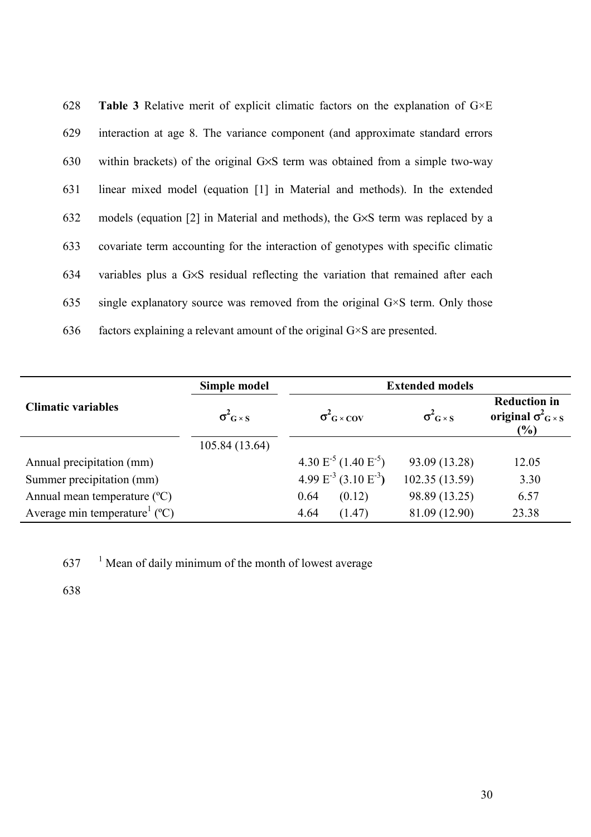| 628 | <b>Table 3</b> Relative merit of explicit climatic factors on the explanation of $G \times E$ |
|-----|-----------------------------------------------------------------------------------------------|
| 629 | interaction at age 8. The variance component (and approximate standard errors)                |
| 630 | within brackets) of the original $G \times S$ term was obtained from a simple two-way         |
| 631 | linear mixed model (equation [1] in Material and methods). In the extended                    |
| 632 | models (equation [2] in Material and methods), the G×S term was replaced by a                 |
| 633 | covariate term accounting for the interaction of genotypes with specific climatic             |
| 634 | variables plus a G $\times$ S residual reflecting the variation that remained after each      |
| 635 | single explanatory source was removed from the original $G \times S$ term. Only those         |
| 636 | factors explaining a relevant amount of the original $G \times S$ are presented.              |

|                                                      | Simple model               | <b>Extended models</b>        |                            |                                                                  |
|------------------------------------------------------|----------------------------|-------------------------------|----------------------------|------------------------------------------------------------------|
| <b>Climatic variables</b>                            | $\sigma_{\rm G\times S}^2$ | $\sigma^2$ <sub>G</sub> × COV | $\sigma_{\rm G\times S}^2$ | <b>Reduction in</b><br>original $\sigma_{G\times S}^2$<br>$(\%)$ |
|                                                      | 105.84 (13.64)             |                               |                            |                                                                  |
| Annual precipitation (mm)                            |                            | $4.30 E^{-5} (1.40 E^{-5})$   | 93.09 (13.28)              | 12.05                                                            |
| Summer precipitation (mm)                            |                            | 4.99 $E^3$ (3.10 $E^3$ )      | 102.35(13.59)              | 3.30                                                             |
| Annual mean temperature $({}^{\circ}C)$              |                            | (0.12)<br>0.64                | 98.89 (13.25)              | 6.57                                                             |
| Average min temperature <sup>1</sup> ( $^{\circ}$ C) |                            | 4.64<br>(1.47)                | 81.09 (12.90)              | 23.38                                                            |

 $637$  <sup>1</sup> Mean of daily minimum of the month of lowest average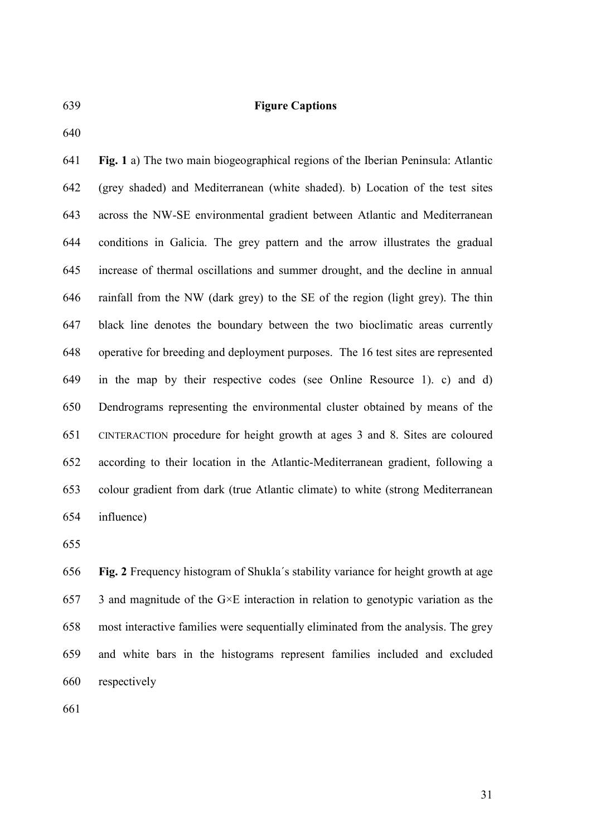#### 639 **Figure Captions**

640

641 **Fig. 1** a) The two main biogeographical regions of the Iberian Peninsula: Atlantic 642 (grey shaded) and Mediterranean (white shaded). b) Location of the test sites 643 across the NW-SE environmental gradient between Atlantic and Mediterranean 644 conditions in Galicia. The grey pattern and the arrow illustrates the gradual 645 increase of thermal oscillations and summer drought, and the decline in annual 646 rainfall from the NW (dark grey) to the SE of the region (light grey). The thin 647 black line denotes the boundary between the two bioclimatic areas currently 648 operative for breeding and deployment purposes. The 16 test sites are represented 649 in the map by their respective codes (see Online Resource 1). c) and d) 650 Dendrograms representing the environmental cluster obtained by means of the 651 CINTERACTION procedure for height growth at ages 3 and 8. Sites are coloured 652 according to their location in the Atlantic-Mediterranean gradient, following a 653 colour gradient from dark (true Atlantic climate) to white (strong Mediterranean 654 influence)

655

656 **Fig. 2** Frequency histogram of Shukla´s stability variance for height growth at age 657 3 and magnitude of the  $G \times E$  interaction in relation to genotypic variation as the 658 most interactive families were sequentially eliminated from the analysis. The grey 659 and white bars in the histograms represent families included and excluded 660 respectively

661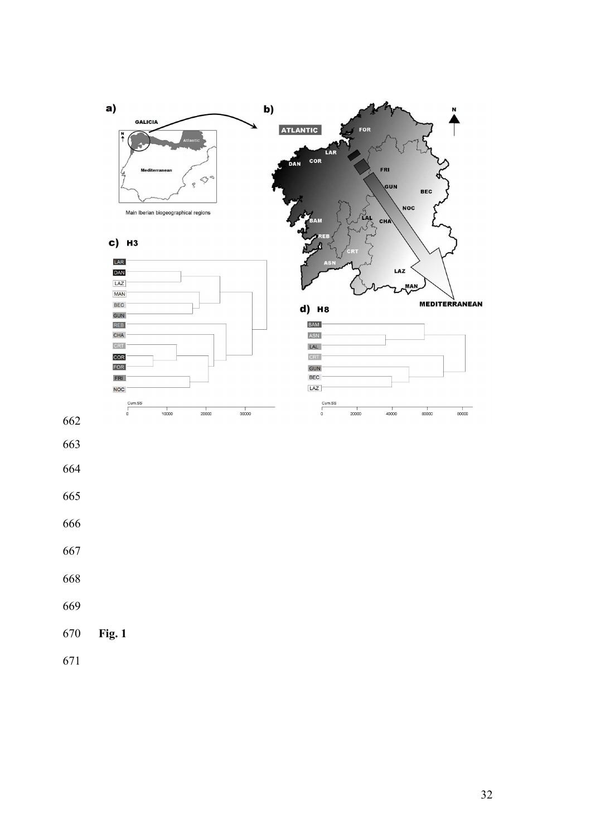

- 
- 
- 
- 
- 
- 
- 
- 
- **Fig. 1**
-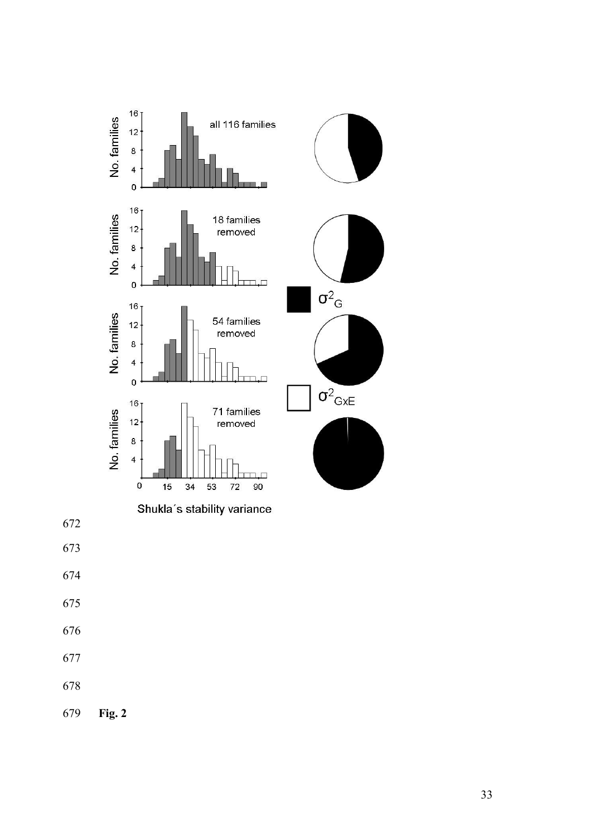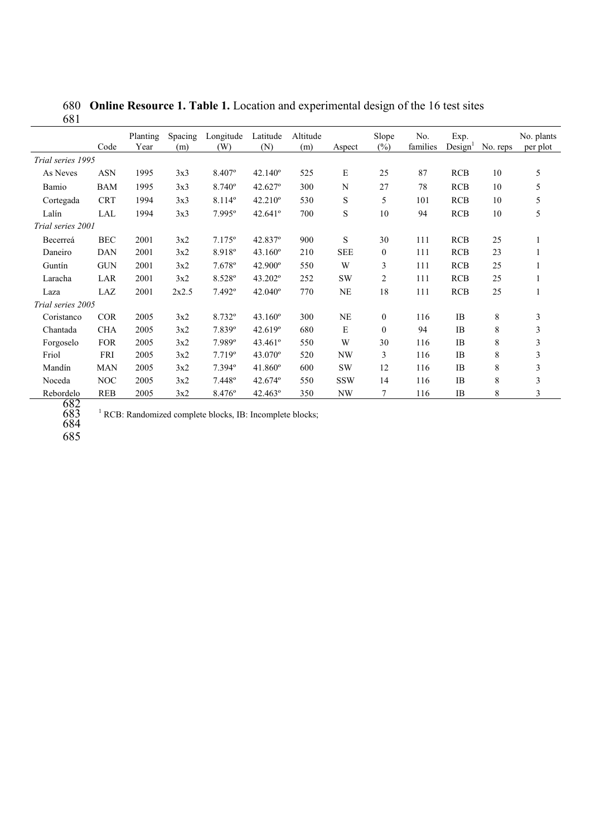680 **Online Resource 1. Table 1.** Location and experimental design of the 16 test sites 681

|                   | Code       | Planting<br>Year | Spacing<br>(m) | Longitude<br>(W) | Latitude<br>(N)  | Altitude<br>(m) | Aspect     | Slope<br>(%) | No.<br>families | Exp.<br>Design <sup>1</sup> | No. reps | No. plants<br>per plot |
|-------------------|------------|------------------|----------------|------------------|------------------|-----------------|------------|--------------|-----------------|-----------------------------|----------|------------------------|
| Trial series 1995 |            |                  |                |                  |                  |                 |            |              |                 |                             |          |                        |
| As Neves          | <b>ASN</b> | 1995             | 3x3            | 8.407°           | $42.140^{\circ}$ | 525             | E          | 25           | 87              | <b>RCB</b>                  | 10       | 5                      |
| Bamio             | <b>BAM</b> | 1995             | 3x3            | $8.740^{\circ}$  | $42.627$ °       | 300             | N          | 27           | 78              | <b>RCB</b>                  | 10       | 5                      |
| Cortegada         | <b>CRT</b> | 1994             | 3x3            | 8.114°           | $42.210^{\circ}$ | 530             | S          | 5            | 101             | <b>RCB</b>                  | 10       | 5                      |
| Lalín             | LAL        | 1994             | 3x3            | $7.995^{\circ}$  | 42.641°          | 700             | S          | 10           | 94              | <b>RCB</b>                  | 10       | 5                      |
| Trial series 2001 |            |                  |                |                  |                  |                 |            |              |                 |                             |          |                        |
| Becerreá          | <b>BEC</b> | 2001             | 3x2            | $7.175^{\circ}$  | $42.837$ °       | 900             | S          | 30           | 111             | <b>RCB</b>                  | 25       |                        |
| Daneiro           | <b>DAN</b> | 2001             | 3x2            | 8.918°           | $43.160^{\circ}$ | 210             | <b>SEE</b> | $\mathbf{0}$ | 111             | <b>RCB</b>                  | 23       |                        |
| Guntín            | <b>GUN</b> | 2001             | 3x2            | 7.678°           | $42.900^{\circ}$ | 550             | W          | 3            | 111             | <b>RCB</b>                  | 25       |                        |
| Laracha           | LAR        | 2001             | 3x2            | 8.528°           | 43.202°          | 252             | <b>SW</b>  | 2            | 111             | <b>RCB</b>                  | 25       |                        |
| Laza              | LAZ        | 2001             | 2x2.5          | 7.492°           | $42.040^{\circ}$ | 770             | <b>NE</b>  | 18           | 111             | <b>RCB</b>                  | 25       |                        |
| Trial series 2005 |            |                  |                |                  |                  |                 |            |              |                 |                             |          |                        |
| Coristanco        | <b>COR</b> | 2005             | 3x2            | 8.732°           | $43.160^{\circ}$ | 300             | <b>NE</b>  | $\mathbf{0}$ | 116             | IB                          | 8        | 3                      |
| Chantada          | <b>CHA</b> | 2005             | 3x2            | 7.839°           | 42.619°          | 680             | E          | $\mathbf{0}$ | 94              | <b>IB</b>                   | 8        | 3                      |
| Forgoselo         | <b>FOR</b> | 2005             | 3x2            | 7.989°           | 43.461°          | 550             | W          | 30           | 116             | <b>IB</b>                   | 8        | 3                      |
| Friol             | FRI        | 2005             | 3x2            | 7.719°           | $43.070^{\circ}$ | 520             | <b>NW</b>  | 3            | 116             | <b>IB</b>                   | 8        | 3                      |
| Mandín            | <b>MAN</b> | 2005             | 3x2            | $7.394$ °        | $41.860^{\circ}$ | 600             | <b>SW</b>  | 12           | 116             | <b>IB</b>                   | 8        | 3                      |
| Noceda            | <b>NOC</b> | 2005             | 3x2            | 7.448°           | $42.674^{\circ}$ | 550             | <b>SSW</b> | 14           | 116             | <b>IB</b>                   | 8        | 3                      |
| Rebordelo         | <b>REB</b> | 2005             | 3x2            | 8.476°           | $42.463^{\circ}$ | 350             | NW         | 7            | 116             | IB                          | 8        | 3                      |

 $1$  RCB: Randomized complete blocks, IB: Incomplete blocks;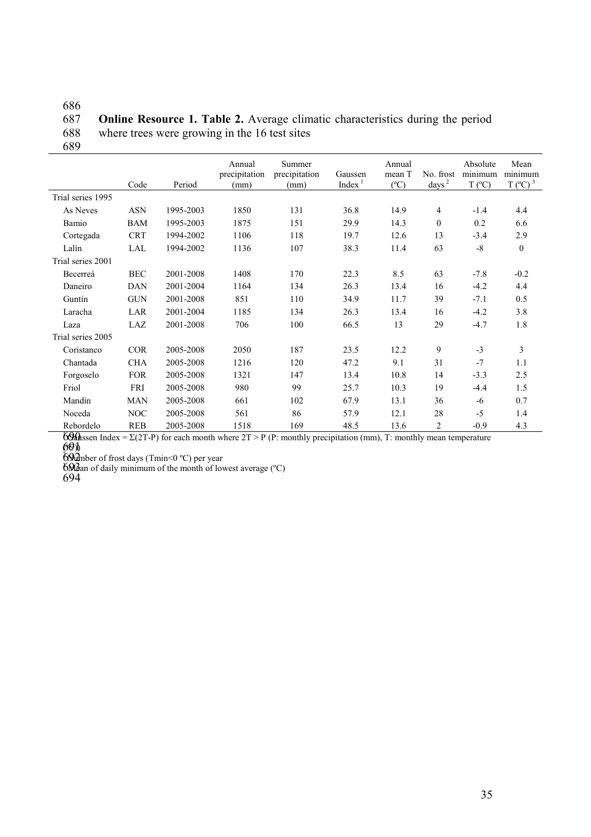686 **Online Resource 1. Table 2.** Average climatic characteristics during the period 688 where trees were growing in the 16 test sites

|                   | Code       | Period    | Annual<br>precipitation<br>(mm) | Summer<br>precipitation<br>(mm) | Gaussen<br>Index <sup>1</sup> | Annual<br>mean T<br>$(^{\circ}C)$ | No. frost<br>days <sup>2</sup> | Absolute<br>minimum<br>$T (^{\circ}C)$ | Mean<br>minimum<br>$T(^{\circ}C)^3$ |
|-------------------|------------|-----------|---------------------------------|---------------------------------|-------------------------------|-----------------------------------|--------------------------------|----------------------------------------|-------------------------------------|
| Trial series 1995 |            |           |                                 |                                 |                               |                                   |                                |                                        |                                     |
| As Neves          | <b>ASN</b> | 1995-2003 | 1850                            | 131                             | 36.8                          | 14.9                              | 4                              | $-1.4$                                 | 4.4                                 |
| Bamio             | <b>BAM</b> | 1995-2003 | 1875                            | 151                             | 29.9                          | 14.3                              | $\mathbf{0}$                   | 0.2                                    | 6.6                                 |
| Cortegada         | <b>CRT</b> | 1994-2002 | 1106                            | 118                             | 19.7                          | 12.6                              | 13                             | $-3.4$                                 | 2.9                                 |
| Lalín             | LAL        | 1994-2002 | 1136                            | 107                             | 38.3                          | 11.4                              | 63                             | $-8$                                   | $\boldsymbol{0}$                    |
| Trial series 2001 |            |           |                                 |                                 |                               |                                   |                                |                                        |                                     |
| Becerreá          | <b>BEC</b> | 2001-2008 | 1408                            | 170                             | 22.3                          | 8.5                               | 63                             | $-7.8$                                 | $-0.2$                              |
| Daneiro           | <b>DAN</b> | 2001-2004 | 1164                            | 134                             | 26.3                          | 13.4                              | 16                             | $-4.2$                                 | 4.4                                 |
| Guntín            | <b>GUN</b> | 2001-2008 | 851                             | 110                             | 34.9                          | 11.7                              | 39                             | $-7.1$                                 | 0.5                                 |
| Laracha           | LAR        | 2001-2004 | 1185                            | 134                             | 26.3                          | 13.4                              | 16                             | $-4.2$                                 | 3.8                                 |
| Laza              | LAZ        | 2001-2008 | 706                             | 100                             | 66.5                          | 13                                | 29                             | $-4.7$                                 | 1.8                                 |
| Trial series 2005 |            |           |                                 |                                 |                               |                                   |                                |                                        |                                     |
| Coristanco        | <b>COR</b> | 2005-2008 | 2050                            | 187                             | 23.5                          | 12.2                              | 9                              | $-3$                                   | 3                                   |
| Chantada          | <b>CHA</b> | 2005-2008 | 1216                            | 120                             | 47.2                          | 9.1                               | 31                             | $-7$                                   | 1.1                                 |
| Forgoselo         | <b>FOR</b> | 2005-2008 | 1321                            | 147                             | 13.4                          | 10.8                              | 14                             | $-3.3$                                 | 2.5                                 |
| Friol             | <b>FRI</b> | 2005-2008 | 980                             | 99                              | 25.7                          | 10.3                              | 19                             | $-4.4$                                 | 1.5                                 |
| Mandín            | <b>MAN</b> | 2005-2008 | 661                             | 102                             | 67.9                          | 13.1                              | 36                             | -6                                     | 0.7                                 |
| Noceda            | NOC        | 2005-2008 | 561                             | 86                              | 57.9                          | 12.1                              | 28                             | $-5$                                   | 1.4                                 |
| Rebordelo         | <b>REB</b> | 2005-2008 | 1518                            | 169                             | 48.5                          | 13.6                              | 2                              | $-0.9$                                 | 4.3                                 |

690 Gaussen Index =  $\Sigma(2T-P)$  for each month where  $2T > P$  (P: monthly precipitation (mm), T: monthly mean temperature (ºC)) 691

 $692$  mber of frost days (Tmin<0 °C) per year

 $693$  an of daily minimum of the month of lowest average ( $°C$ )